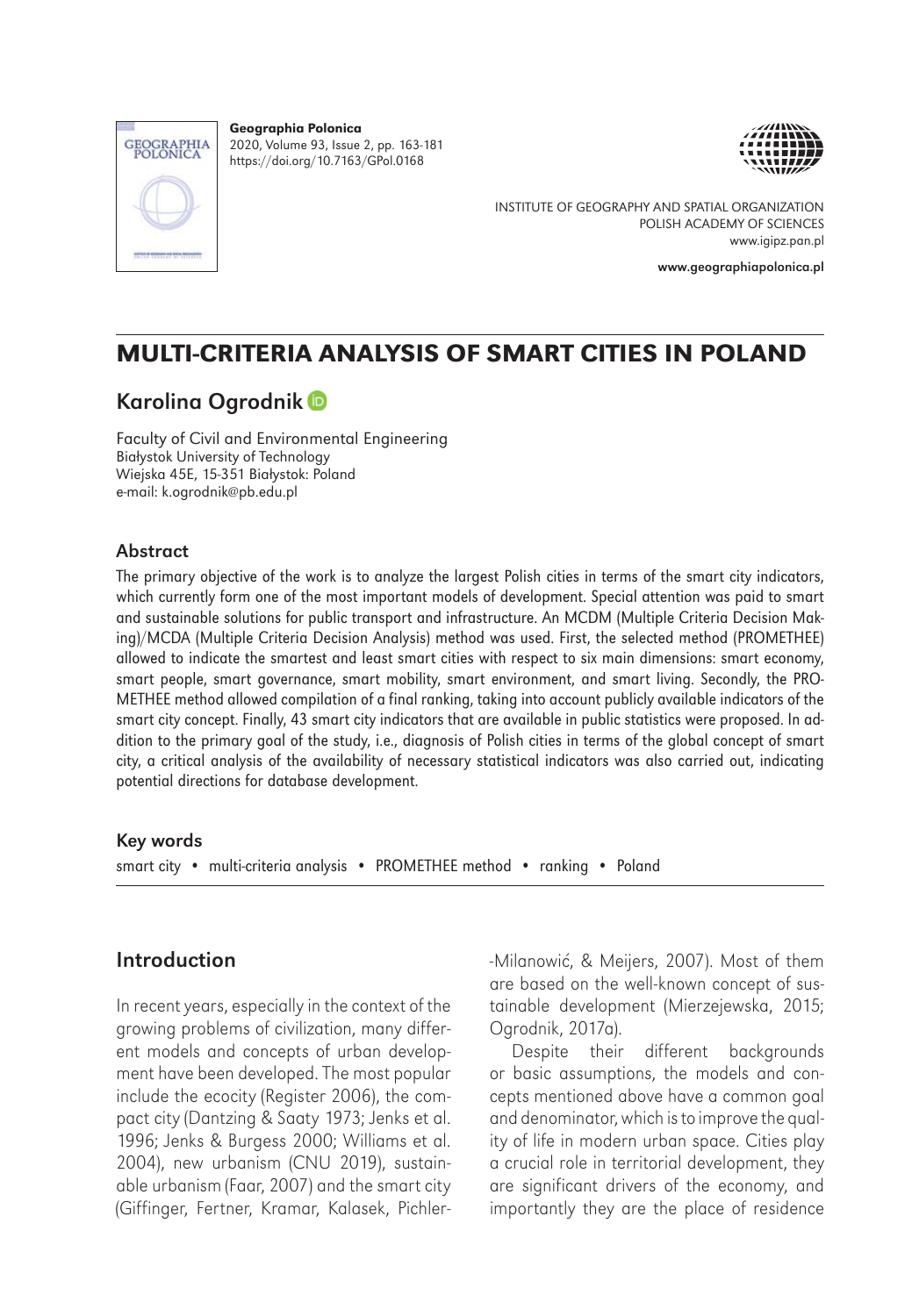

Geographia Polonica 2020, Volume 93, Issue 2, pp. 163-181 https://doi.org/10.7163/GPol.0168



INSTITUTE OF GEOGRAPHY AND SPATIAL ORGANIZATION POLISH ACADEMY OF SCIENCES www.igipz.pan.pl

www.geographiapolonica.pl

# MULTI-CRITERIA ANALYSIS OF SMART CITIES IN POLAND

# Karolina Ogrodnik

Faculty of Civil and Environmental Engineering Białystok University of Technology Wiejska 45E, 15-351 Białystok: Poland e-mail: k.ogrodnik@pb.edu.pl

#### Abstract

The primary objective of the work is to analyze the largest Polish cities in terms of the smart city indicators, which currently form one of the most important models of development. Special attention was paid to smart and sustainable solutions for public transport and infrastructure. An MCDM (Multiple Criteria Decision Making)/MCDA (Multiple Criteria Decision Analysis) method was used. First, the selected method (PROMETHEE) allowed to indicate the smartest and least smart cities with respect to six main dimensions: smart economy, smart people, smart governance, smart mobility, smart environment, and smart living. Secondly, the PRO-METHEE method allowed compilation of a final ranking, taking into account publicly available indicators of the smart city concept. Finally, 43 smart city indicators that are available in public statistics were proposed. In addition to the primary goal of the study, i.e., diagnosis of Polish cities in terms of the global concept of smart city, a critical analysis of the availability of necessary statistical indicators was also carried out, indicating potential directions for database development.

#### Key words

smart city • multi-criteria analysis • PROMETHEE method • ranking • Poland

### Introduction

In recent years, especially in the context of the growing problems of civilization, many different models and concepts of urban development have been developed. The most popular include the ecocity (Register 2006), the compact city (Dantzing & Saaty 1973; Jenks et al. 1996; Jenks & Burgess 2000; Williams et al. 2004), new urbanism (CNU 2019), sustainable urbanism (Faar, 2007) and the smart city (Giffinger, Fertner, Kramar, Kalasek, Pichler-Milanowić, & Meijers, 2007). Most of them are based on the well-known concept of sustainable development (Mierzejewska, 2015; Ogrodnik, 2017a).

Despite their different backgrounds or basic assumptions, the models and concepts mentioned above have a common goal and denominator, which is to improve the quality of life in modern urban space. Cities play a crucial role in territorial development, they are significant drivers of the economy, and importantly they are the place of residence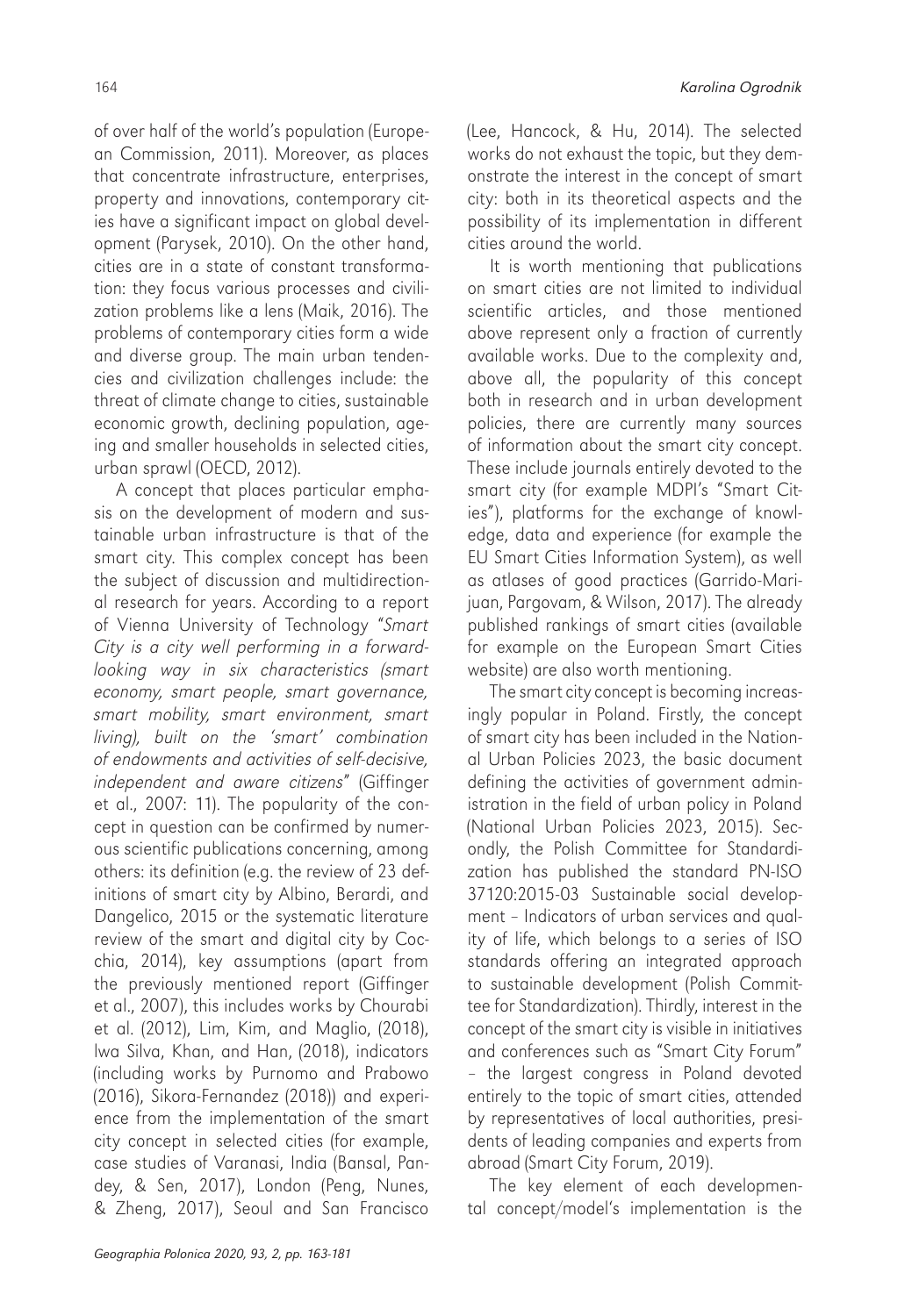of over half of the world's population (European Commission, 2011). Moreover, as places that concentrate infrastructure, enterprises, property and innovations, contemporary cities have a significant impact on global development (Parysek, 2010). On the other hand, cities are in a state of constant transformation: they focus various processes and civilization problems like a lens (Maik, 2016). The problems of contemporary cities form a wide and diverse group. The main urban tendencies and civilization challenges include: the threat of climate change to cities, sustainable economic growth, declining population, ageing and smaller households in selected cities, urban sprawl (OECD, 2012).

A concept that places particular emphasis on the development of modern and sustainable urban infrastructure is that of the smart city. This complex concept has been the subject of discussion and multidirectional research for years. According to a report of Vienna University of Technology "*Smart City is a city well performing in a forwardlooking way in six characteristics (smart economy, smart people, smart governance, smart mobility, smart environment, smart living), built on the 'smart' combination of endowments and activities of self-decisive, independent and aware citizens*" (Giffinger et al., 2007: 11). The popularity of the concept in question can be confirmed by numerous scientific publications concerning, among others: its definition (e.g. the review of 23 definitions of smart city by Albino, Berardi, and Dangelico, 2015 or the systematic literature review of the smart and digital city by Cocchia, 2014), key assumptions (apart from the previously mentioned report (Giffinger et al., 2007), this includes works by Chourabi et al. (2012), Lim, Kim, and Maglio, (2018), lwa Silva, Khan, and Han, (2018), indicators (including works by Purnomo and Prabowo (2016), Sikora-Fernandez (2018)) and experience from the implementation of the smart city concept in selected cities (for example, case studies of Varanasi, India (Bansal, Pandey, & Sen, 2017), London (Peng, Nunes, & Zheng, 2017), Seoul and San Francisco

(Lee, Hancock, & Hu, 2014). The selected works do not exhaust the topic, but they demonstrate the interest in the concept of smart city: both in its theoretical aspects and the possibility of its implementation in different cities around the world.

It is worth mentioning that publications on smart cities are not limited to individual scientific articles, and those mentioned above represent only a fraction of currently available works. Due to the complexity and, above all, the popularity of this concept both in research and in urban development policies, there are currently many sources of information about the smart city concept. These include journals entirely devoted to the smart city (for example MDPI's "Smart Cities"), platforms for the exchange of knowledge, data and experience (for example the EU Smart Cities Information System), as well as atlases of good practices (Garrido-Marijuan, Pargovam, & Wilson, 2017). The already published rankings of smart cities (available for example on the European Smart Cities website) are also worth mentioning.

The smart city concept is becoming increasingly popular in Poland. Firstly, the concept of smart city has been included in the National Urban Policies 2023, the basic document defining the activities of government administration in the field of urban policy in Poland (National Urban Policies 2023, 2015). Secondly, the Polish Committee for Standardization has published the standard PN-ISO 37120:2015-03 Sustainable social development – Indicators of urban services and quality of life, which belongs to a series of ISO standards offering an integrated approach to sustainable development (Polish Committee for Standardization). Thirdly, interest in the concept of the smart city is visible in initiatives and conferences such as "Smart City Forum" – the largest congress in Poland devoted entirely to the topic of smart cities, attended by representatives of local authorities, presidents of leading companies and experts from abroad (Smart City Forum, 2019).

The key element of each developmental concept/model's implementation is the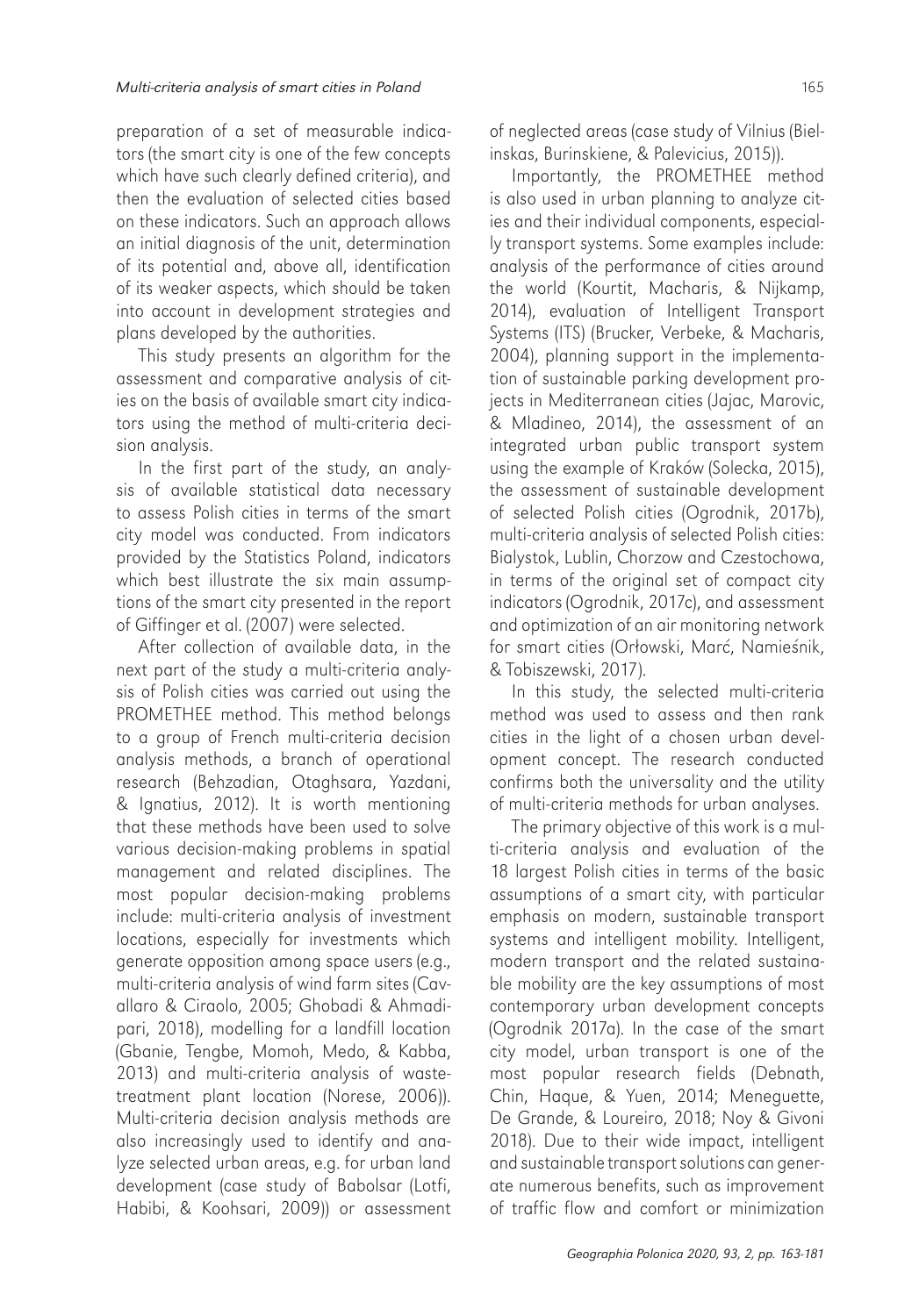preparation of a set of measurable indicators (the smart city is one of the few concepts which have such clearly defined criteria), and then the evaluation of selected cities based on these indicators. Such an approach allows an initial diagnosis of the unit, determination of its potential and, above all, identification of its weaker aspects, which should be taken into account in development strategies and plans developed by the authorities.

This study presents an algorithm for the assessment and comparative analysis of cities on the basis of available smart city indicators using the method of multi-criteria decision analysis.

In the first part of the study, an analysis of available statistical data necessary to assess Polish cities in terms of the smart city model was conducted. From indicators provided by the Statistics Poland, indicators which best illustrate the six main assumptions of the smart city presented in the report of Giffinger et al. (2007) were selected.

After collection of available data, in the next part of the study a multi-criteria analysis of Polish cities was carried out using the PROMETHEE method. This method belongs to a group of French multi-criteria decision analysis methods, a branch of operational research (Behzadian, Otaghsara, Yazdani, & Ignatius, 2012). It is worth mentioning that these methods have been used to solve various decision-making problems in spatial management and related disciplines. The most popular decision-making problems include: multi-criteria analysis of investment locations, especially for investments which generate opposition among space users (e.g., multi-criteria analysis of wind farm sites (Cavallaro & Ciraolo, 2005; Ghobadi & Ahmadipari, 2018), modelling for a landfill location (Gbanie, Tengbe, Momoh, Medo, & Kabba, 2013) and multi-criteria analysis of wastetreatment plant location (Norese, 2006)). Multi-criteria decision analysis methods are also increasingly used to identify and analyze selected urban areas, e.g. for urban land development (case study of Babolsar (Lotfi, Habibi, & Koohsari, 2009)) or assessment of neglected areas (case study of Vilnius (Bielinskas, Burinskiene, & Palevicius, 2015)).

Importantly, the PROMETHEE method is also used in urban planning to analyze cities and their individual components, especially transport systems. Some examples include: analysis of the performance of cities around the world (Kourtit, Macharis, & Nijkamp, 2014), evaluation of Intelligent Transport Systems (ITS) (Brucker, Verbeke, & Macharis, 2004), planning support in the implementation of sustainable parking development projects in Mediterranean cities (Jajac, Marovic, & Mladineo, 2014), the assessment of an integrated urban public transport system using the example of Kraków (Solecka, 2015), the assessment of sustainable development of selected Polish cities (Ogrodnik, 2017b), multi-criteria analysis of selected Polish cities: Bialystok, Lublin, Chorzow and Czestochowa, in terms of the original set of compact city indicators (Ogrodnik, 2017c), and assessment and optimization of an air monitoring network for smart cities (Orłowski, Marć, Namieśnik, & Tobiszewski, 2017).

In this study, the selected multi-criteria method was used to assess and then rank cities in the light of a chosen urban development concept. The research conducted confirms both the universality and the utility of multi-criteria methods for urban analyses.

The primary objective of this work is a multi-criteria analysis and evaluation of the 18 largest Polish cities in terms of the basic assumptions of a smart city, with particular emphasis on modern, sustainable transport systems and intelligent mobility. Intelligent, modern transport and the related sustainable mobility are the key assumptions of most contemporary urban development concepts (Ogrodnik 2017a). In the case of the smart city model, urban transport is one of the most popular research fields (Debnath, Chin, Haque, & Yuen, 2014; Meneguette, De Grande, & Loureiro, 2018; Noy & Givoni 2018). Due to their wide impact, intelligent and sustainable transport solutions can generate numerous benefits, such as improvement of traffic flow and comfort or minimization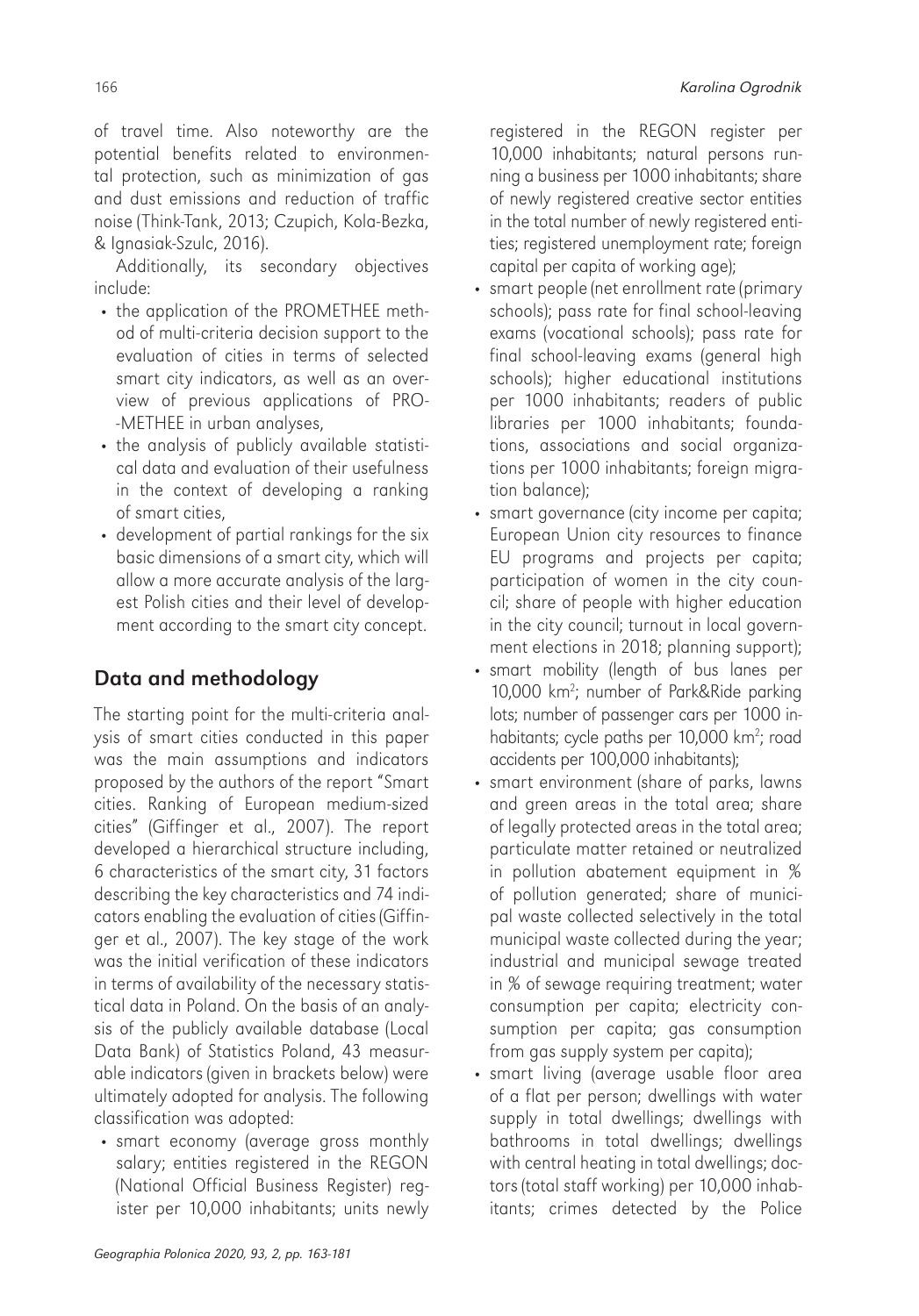of travel time. Also noteworthy are the potential benefits related to environmental protection, such as minimization of gas and dust emissions and reduction of traffic noise (Think-Tank, 2013; Czupich, Kola-Bezka, & Ignasiak-Szulc, 2016).

Additionally, its secondary objectives include:

- the application of the PROMETHEE method of multi-criteria decision support to the evaluation of cities in terms of selected smart city indicators, as well as an overview of previous applications of PRO- -METHEE in urban analyses,
- the analysis of publicly available statistical data and evaluation of their usefulness in the context of developing a ranking of smart cities,
- development of partial rankings for the six basic dimensions of a smart city, which will allow a more accurate analysis of the largest Polish cities and their level of development according to the smart city concept.

# Data and methodology

The starting point for the multi-criteria analysis of smart cities conducted in this paper was the main assumptions and indicators proposed by the authors of the report "Smart cities. Ranking of European medium-sized cities" (Giffinger et al., 2007). The report developed a hierarchical structure including, 6 characteristics of the smart city, 31 factors describing the key characteristics and 74 indicators enabling the evaluation of cities (Giffinger et al., 2007). The key stage of the work was the initial verification of these indicators in terms of availability of the necessary statistical data in Poland. On the basis of an analysis of the publicly available database (Local Data Bank) of Statistics Poland, 43 measurable indicators (given in brackets below) were ultimately adopted for analysis. The following classification was adopted:

• smart economy (average gross monthly salary; entities registered in the REGON (National Official Business Register) register per 10,000 inhabitants; units newly registered in the REGON register per 10,000 inhabitants; natural persons running a business per 1000 inhabitants; share of newly registered creative sector entities in the total number of newly registered entities; registered unemployment rate; foreign capital per capita of working age);

- smart people (net enrollment rate (primary schools); pass rate for final school-leaving exams (vocational schools); pass rate for final school-leaving exams (general high schools); higher educational institutions per 1000 inhabitants; readers of public libraries per 1000 inhabitants; foundations, associations and social organizations per 1000 inhabitants; foreign migration balance);
- smart governance (city income per capita; European Union city resources to finance EU programs and projects per capita; participation of women in the city council; share of people with higher education in the city council; turnout in local government elections in 2018; planning support);
- smart mobility (length of bus lanes per 10,000 km<sup>2</sup>; number of Park&Ride parking lots; number of passenger cars per 1000 inhabitants; cycle paths per 10,000 km<sup>2</sup>; road accidents per 100,000 inhabitants);
- smart environment (share of parks, lawns and green areas in the total area; share of legally protected areas in the total area; particulate matter retained or neutralized in pollution abatement equipment in % of pollution generated; share of municipal waste collected selectively in the total municipal waste collected during the year; industrial and municipal sewage treated in % of sewage requiring treatment; water consumption per capita; electricity consumption per capita; gas consumption from gas supply system per capita);
- smart living (average usable floor area of a flat per person; dwellings with water supply in total dwellings; dwellings with bathrooms in total dwellings; dwellings with central heating in total dwellings; doctors (total staff working) per 10,000 inhabitants; crimes detected by the Police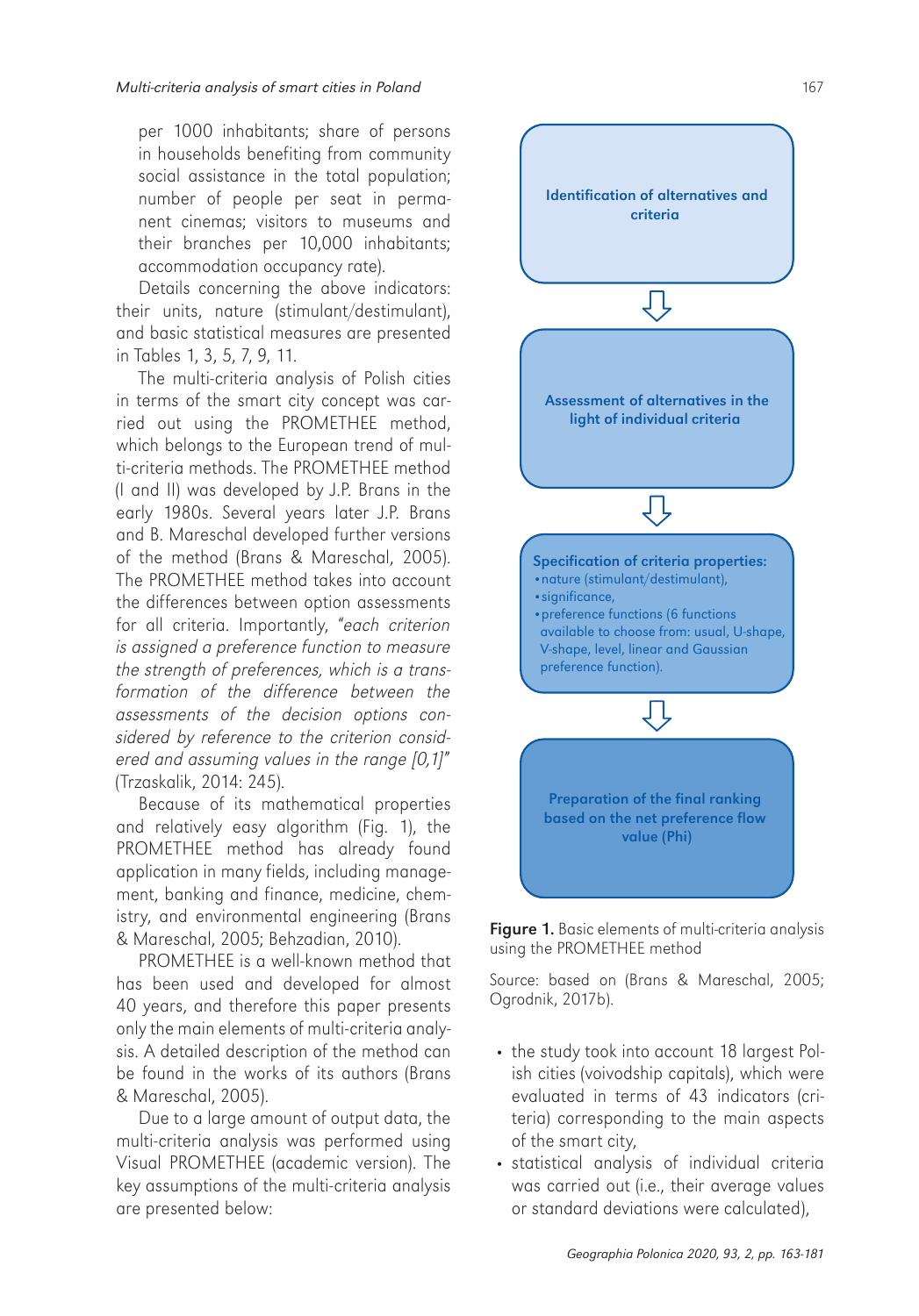per 1000 inhabitants; share of persons in households benefiting from community social assistance in the total population; number of people per seat in permanent cinemas; visitors to museums and their branches per 10,000 inhabitants; accommodation occupancy rate).

Details concerning the above indicators: their units, nature (stimulant/destimulant), and basic statistical measures are presented in Tables 1, 3, 5, 7, 9, 11.

The multi-criteria analysis of Polish cities in terms of the smart city concept was carried out using the PROMETHEE method, which belongs to the European trend of multi-criteria methods. The PROMETHEE method (I and II) was developed by J.P. Brans in the early 1980s. Several years later J.P. Brans and B. Mareschal developed further versions of the method (Brans & Mareschal, 2005). The PROMETHEE method takes into account the differences between option assessments for all criteria. Importantly, "*each criterion is assigned a preference function to measure the strength of preferences, which is a transformation of the difference between the assessments of the decision options considered by reference to the criterion considered and assuming values in the range [0,1]*" (Trzaskalik, 2014: 245).

Because of its mathematical properties and relatively easy algorithm (Fig. 1), the PROMETHEE method has already found application in many fields, including management, banking and finance, medicine, chemistry, and environmental engineering (Brans & Mareschal, 2005; Behzadian, 2010).

PROMETHEE is a well-known method that has been used and developed for almost 40 years, and therefore this paper presents only the main elements of multi-criteria analysis. A detailed description of the method can be found in the works of its authors (Brans & Mareschal, 2005).

Due to a large amount of output data, the multi-criteria analysis was performed using Visual PROMETHEE (academic version). The key assumptions of the multi-criteria analysis are presented below:



Figure 1. Basic elements of multi-criteria analysis using the PROMETHEE method

Source: based on (Brans & Mareschal, 2005; Ogrodnik, 2017b).

- the study took into account 18 largest Polish cities (voivodship capitals), which were evaluated in terms of 43 indicators (criteria) corresponding to the main aspects of the smart city,
- statistical analysis of individual criteria was carried out (i.e., their average values or standard deviations were calculated),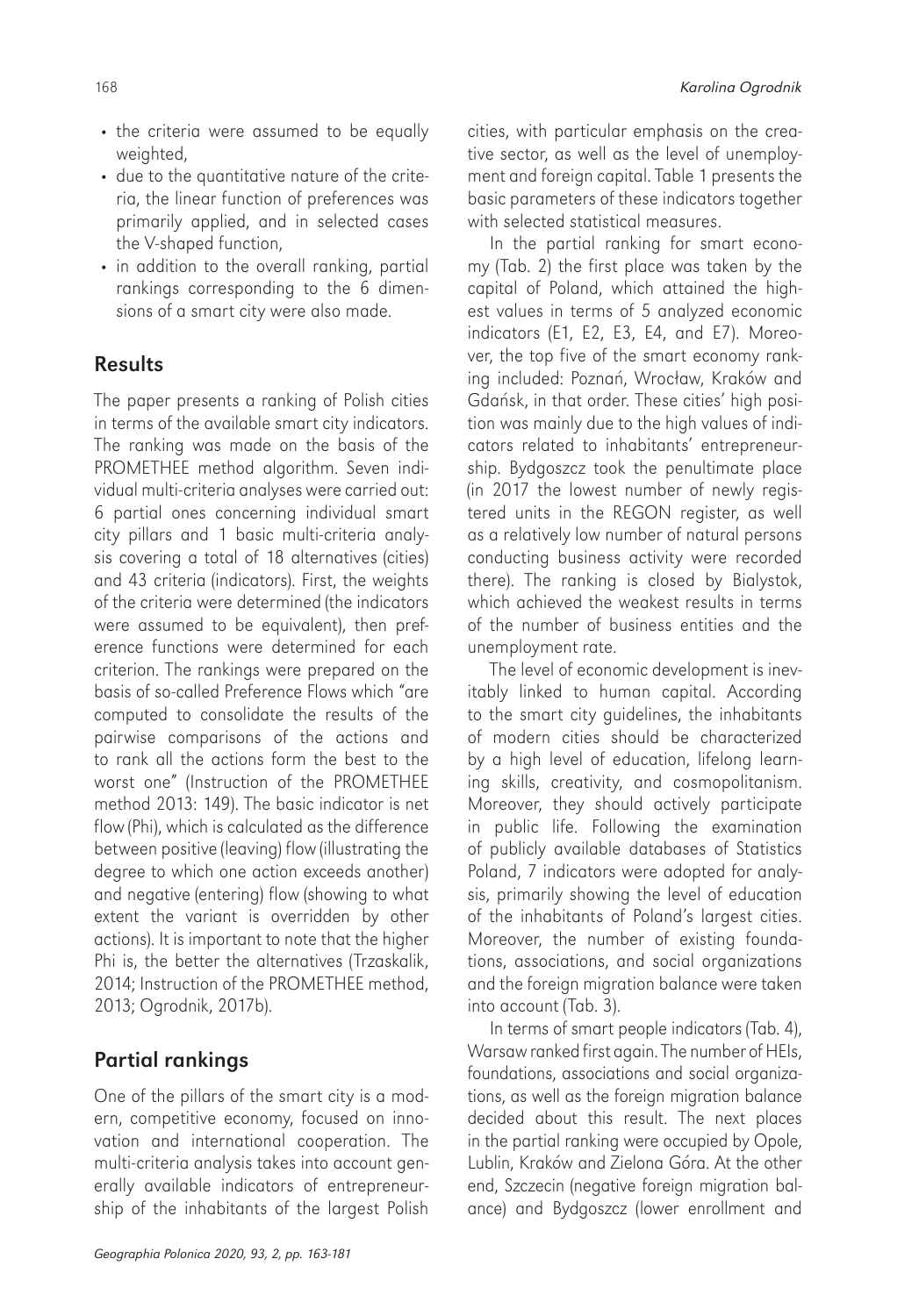- the criteria were assumed to be equally weighted,
- due to the quantitative nature of the criteria, the linear function of preferences was primarily applied, and in selected cases the V-shaped function,
- in addition to the overall ranking, partial rankings corresponding to the 6 dimensions of a smart city were also made.

### Results

The paper presents a ranking of Polish cities in terms of the available smart city indicators. The ranking was made on the basis of the PROMETHEE method algorithm. Seven individual multi-criteria analyses were carried out: 6 partial ones concerning individual smart city pillars and 1 basic multi-criteria analysis covering a total of 18 alternatives (cities) and 43 criteria (indicators). First, the weights of the criteria were determined (the indicators were assumed to be equivalent), then preference functions were determined for each criterion. The rankings were prepared on the basis of so-called Preference Flows which "are computed to consolidate the results of the pairwise comparisons of the actions and to rank all the actions form the best to the worst one" (Instruction of the PROMETHEE method 2013: 149). The basic indicator is net flow (Phi), which is calculated as the difference between positive (leaving) flow (illustrating the degree to which one action exceeds another) and negative (entering) flow (showing to what extent the variant is overridden by other actions). It is important to note that the higher Phi is, the better the alternatives (Trzaskalik, 2014; Instruction of the PROMETHEE method, 2013; Ogrodnik, 2017b).

# Partial rankings

One of the pillars of the smart city is a modern, competitive economy, focused on innovation and international cooperation. The multi-criteria analysis takes into account generally available indicators of entrepreneurship of the inhabitants of the largest Polish

cities, with particular emphasis on the creative sector, as well as the level of unemployment and foreign capital. Table 1 presents the basic parameters of these indicators together with selected statistical measures.

In the partial ranking for smart economy (Tab. 2) the first place was taken by the capital of Poland, which attained the highest values in terms of 5 analyzed economic indicators (E1, E2, E3, E4, and E7). Moreover, the top five of the smart economy ranking included: Poznań, Wrocław, Kraków and Gdańsk, in that order. These cities' high position was mainly due to the high values of indicators related to inhabitants' entrepreneurship. Bydgoszcz took the penultimate place (in 2017 the lowest number of newly registered units in the REGON register, as well as a relatively low number of natural persons conducting business activity were recorded there). The ranking is closed by Bialystok, which achieved the weakest results in terms of the number of business entities and the unemployment rate.

The level of economic development is inevitably linked to human capital. According to the smart city guidelines, the inhabitants of modern cities should be characterized by a high level of education, lifelong learning skills, creativity, and cosmopolitanism. Moreover, they should actively participate in public life. Following the examination of publicly available databases of Statistics Poland, 7 indicators were adopted for analysis, primarily showing the level of education of the inhabitants of Poland's largest cities. Moreover, the number of existing foundations, associations, and social organizations and the foreign migration balance were taken into account (Tab. 3).

In terms of smart people indicators (Tab. 4), Warsaw ranked first again. The number of HEIs, foundations, associations and social organizations, as well as the foreign migration balance decided about this result. The next places in the partial ranking were occupied by Opole, Lublin, Kraków and Zielona Góra. At the other end, Szczecin (negative foreign migration balance) and Bydgoszcz (lower enrollment and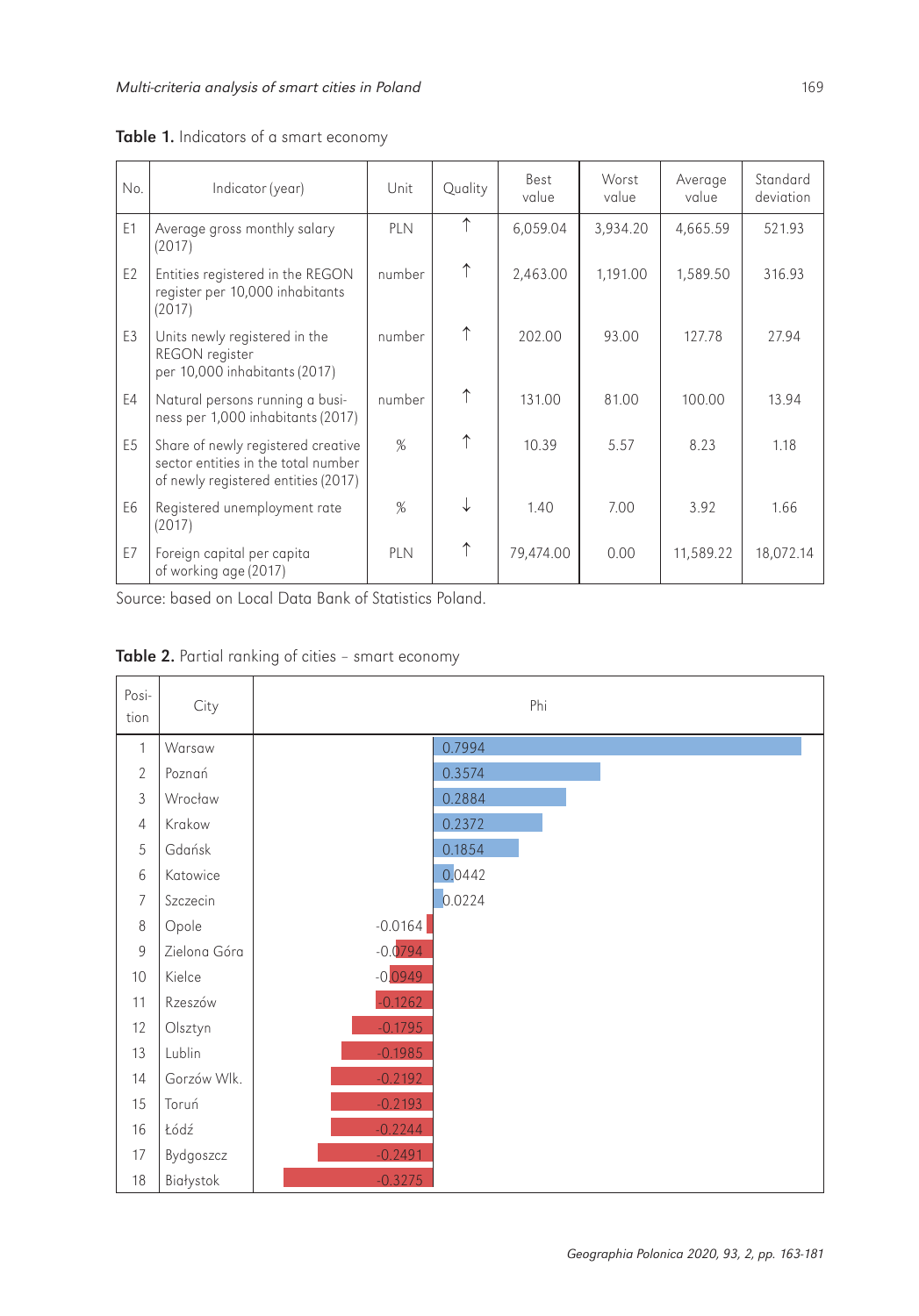| No.            | Indicator (year)                                                                                                 | Unit       | Quality | Best<br>value | Worst<br>value | Average<br>value | Standard<br>deviation |
|----------------|------------------------------------------------------------------------------------------------------------------|------------|---------|---------------|----------------|------------------|-----------------------|
| E1             | Average gross monthly salary<br>(2017)                                                                           | PLN        |         | 6,059.04      | 3,934.20       | 4,665.59         | 521.93                |
| E <sub>2</sub> | Entities registered in the REGON<br>register per 10,000 inhabitants<br>(2017)                                    | number     | ↑       | 2,463.00      | 1,191.00       | 1,589.50         | 316.93                |
| E <sub>3</sub> | Units newly registered in the<br><b>REGON</b> register<br>per 10,000 inhabitants (2017)                          | number     |         | 202.00        | 93.00          | 127.78           | 27.94                 |
| E4             | Natural persons running a busi-<br>ness per 1,000 inhabitants (2017)                                             | number     | ↑       | 131.00        | 81.00          | 100.00           | 13.94                 |
| E <sub>5</sub> | Share of newly registered creative<br>sector entities in the total number<br>of newly registered entities (2017) | %          | ↑       | 10.39         | 5.57           | 8.23             | 1.18                  |
| E <sub>6</sub> | Registered unemployment rate<br>(2017)                                                                           | %          | ↓       | 1.40          | 7.00           | 3.92             | 1.66                  |
| E7             | Foreign capital per capita<br>of working age (2017)                                                              | <b>PIN</b> |         | 79,474.00     | 0.00           | 11,589.22        | 18,072.14             |

Table 1. Indicators of a smart economy

Source: based on Local Data Bank of Statistics Poland.



Table 2. Partial ranking of cities - smart economy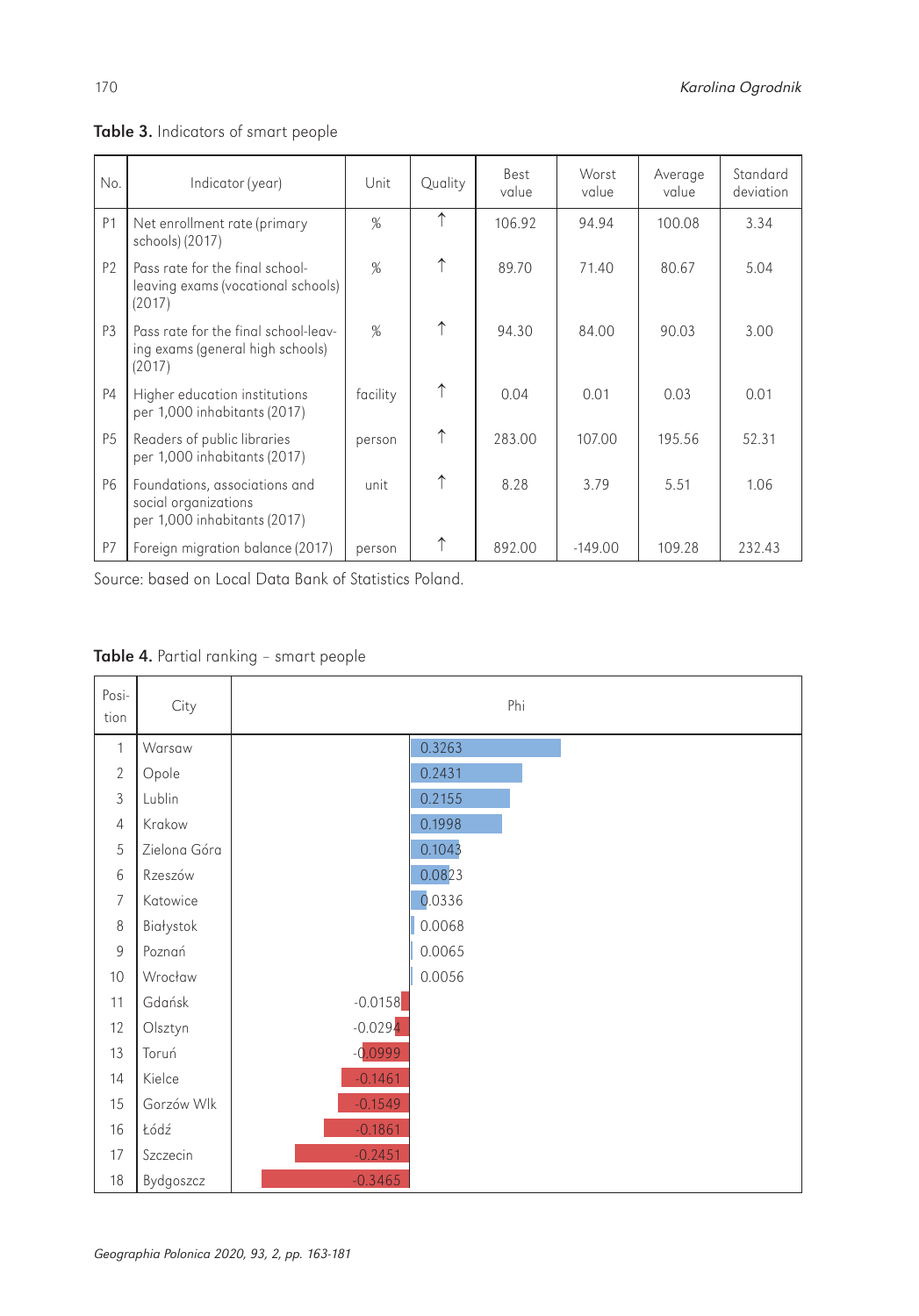| No.            | Indicator (year)                                                                      | Unit     | Quality    | Best<br>value | Worst<br>value | Average<br>value | Standard<br>deviation |
|----------------|---------------------------------------------------------------------------------------|----------|------------|---------------|----------------|------------------|-----------------------|
| P1             | Net enrollment rate (primary<br>schools) (2017)                                       | %        | $\uparrow$ | 106.92        | 94.94          | 100.08           | 3.34                  |
| P <sub>2</sub> | Pass rate for the final school-<br>leaving exams (vocational schools)<br>(2017)       | %        | $\uparrow$ | 89.70         | 71.40          | 80.67            | 5.04                  |
| P3             | Pass rate for the final school-leav-<br>ing exams (general high schools)<br>(2017)    | %        | ↑          | 94.30         | 84.00          | 90.03            | 3.00                  |
| <b>P4</b>      | Higher education institutions<br>per 1,000 inhabitants (2017)                         | facility |            | 0.04          | 0.01           | 0.03             | 0.01                  |
| <b>P5</b>      | Readers of public libraries<br>per 1,000 inhabitants (2017)                           | person   | ↑          | 283.00        | 107.00         | 195.56           | 52.31                 |
| <b>P6</b>      | Foundations, associations and<br>social organizations<br>per 1,000 inhabitants (2017) | unit     | ↑          | 8.28          | 3.79           | 5.51             | 1.06                  |
| P7             | Foreign migration balance (2017)                                                      | person   |            | 892.00        | $-149.00$      | 109.28           | 232.43                |

### Table 3. Indicators of smart people

Source: based on Local Data Bank of Statistics Poland.

| Posi-<br>tion  | City         | Phi       |
|----------------|--------------|-----------|
| $\mathbf{1}$   | Warsaw       | 0.3263    |
| $\overline{2}$ | Opole        | 0.2431    |
| $\mathfrak{Z}$ | Lublin       | 0.2155    |
| $\overline{4}$ | Krakow       | 0.1998    |
| 5              | Zielona Góra | 0.1043    |
| 6              | Rzeszów      | 0.0823    |
| $\overline{7}$ | Katowice     | 0.0336    |
| 8              | Białystok    | 0.0068    |
| 9              | Poznań       | 0.0065    |
| 10             | Wrocław      | 0.0056    |
| 11             | Gdańsk       | $-0.0158$ |
| 12             | Olsztyn      | $-0.0294$ |
| 13             | Toruń        | $-0.0999$ |
| 14             | Kielce       | $-0.1461$ |
| 15             | Gorzów Wlk   | $-0.1549$ |
| 16             | Łódź         | $-0.1861$ |
| 17             | Szczecin     | $-0.2451$ |
| 18             | Bydgoszcz    | $-0.3465$ |

### Table 4. Partial ranking – smart people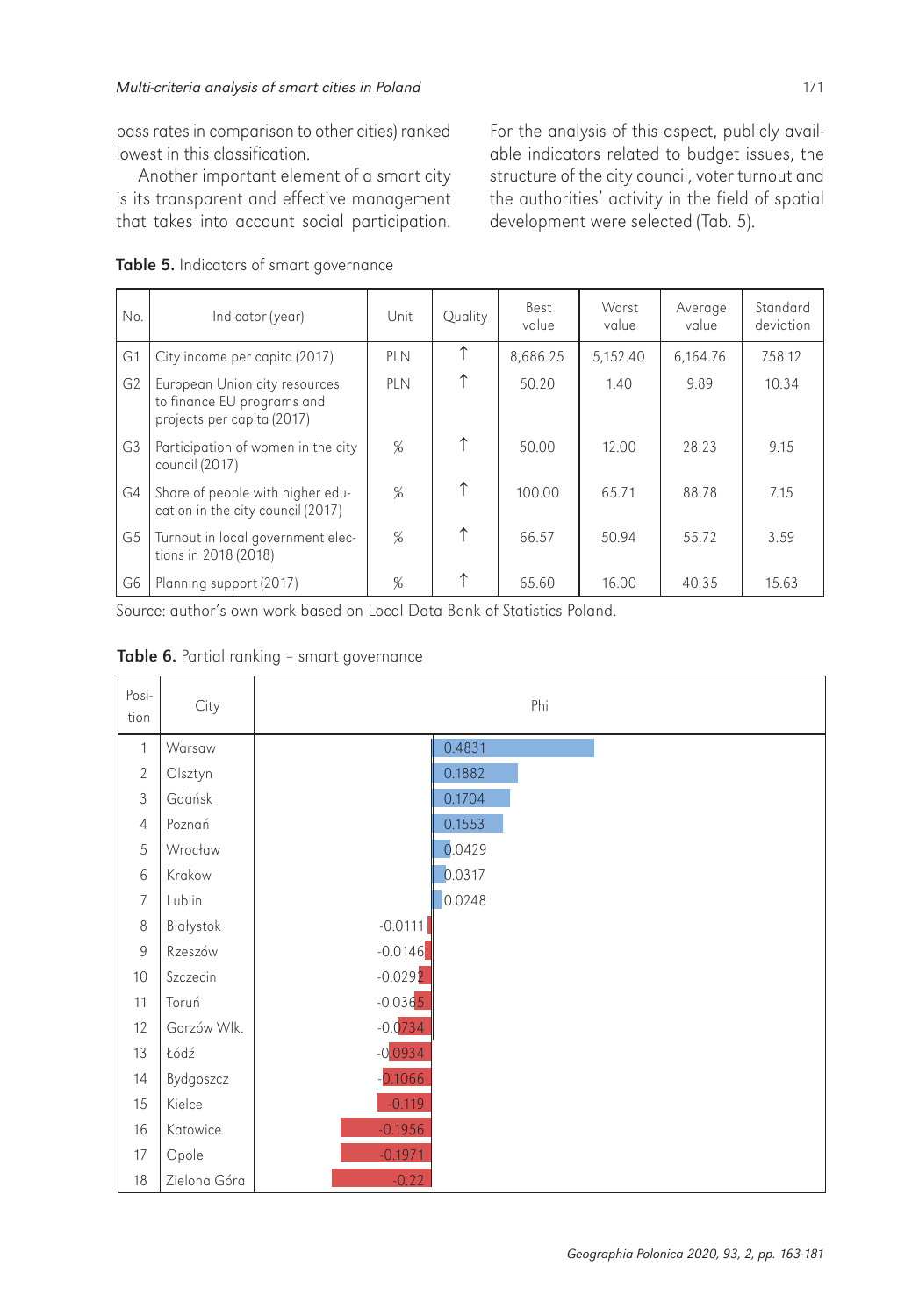pass rates in comparison to other cities) ranked lowest in this classification.

Another important element of a smart city is its transparent and effective management that takes into account social participation.

For the analysis of this aspect, publicly available indicators related to budget issues, the structure of the city council, voter turnout and the authorities' activity in the field of spatial development were selected (Tab. 5).

|  | Table 5. Indicators of smart governance |  |
|--|-----------------------------------------|--|
|  |                                         |  |

| No.            | Indicator (year)                                                                          | Unit | Quality    | Best<br>value | Worst<br>value | Average<br>value | Standard<br>deviation |
|----------------|-------------------------------------------------------------------------------------------|------|------------|---------------|----------------|------------------|-----------------------|
| G1             | City income per capita (2017)                                                             | PIN  | ↑          | 8,686.25      | 5.152.40       | 6.164.76         | 758.12                |
| G <sub>2</sub> | European Union city resources<br>to finance EU programs and<br>projects per capita (2017) | PIN  | ↑          | 50.20         | 1.40           | 9.89             | 10.34                 |
| G <sub>3</sub> | Participation of women in the city<br>council (2017)                                      | %    | ↑          | 50.00         | 12.00          | 28.23            | 9.15                  |
| G4             | Share of people with higher edu-<br>cation in the city council (2017)                     | %    | $\uparrow$ | 100.00        | 65.71          | 88.78            | 7.15                  |
| G5             | Turnout in local government elec-<br>tions in 2018 (2018)                                 | %    | ↑          | 66.57         | 50.94          | 55.72            | 3.59                  |
| G6             | Planning support (2017)                                                                   | %    | ↑          | 65.60         | 16.00          | 40.35            | 15.63                 |

Source: author's own work based on Local Data Bank of Statistics Poland.

Table 6. Partial ranking – smart governance

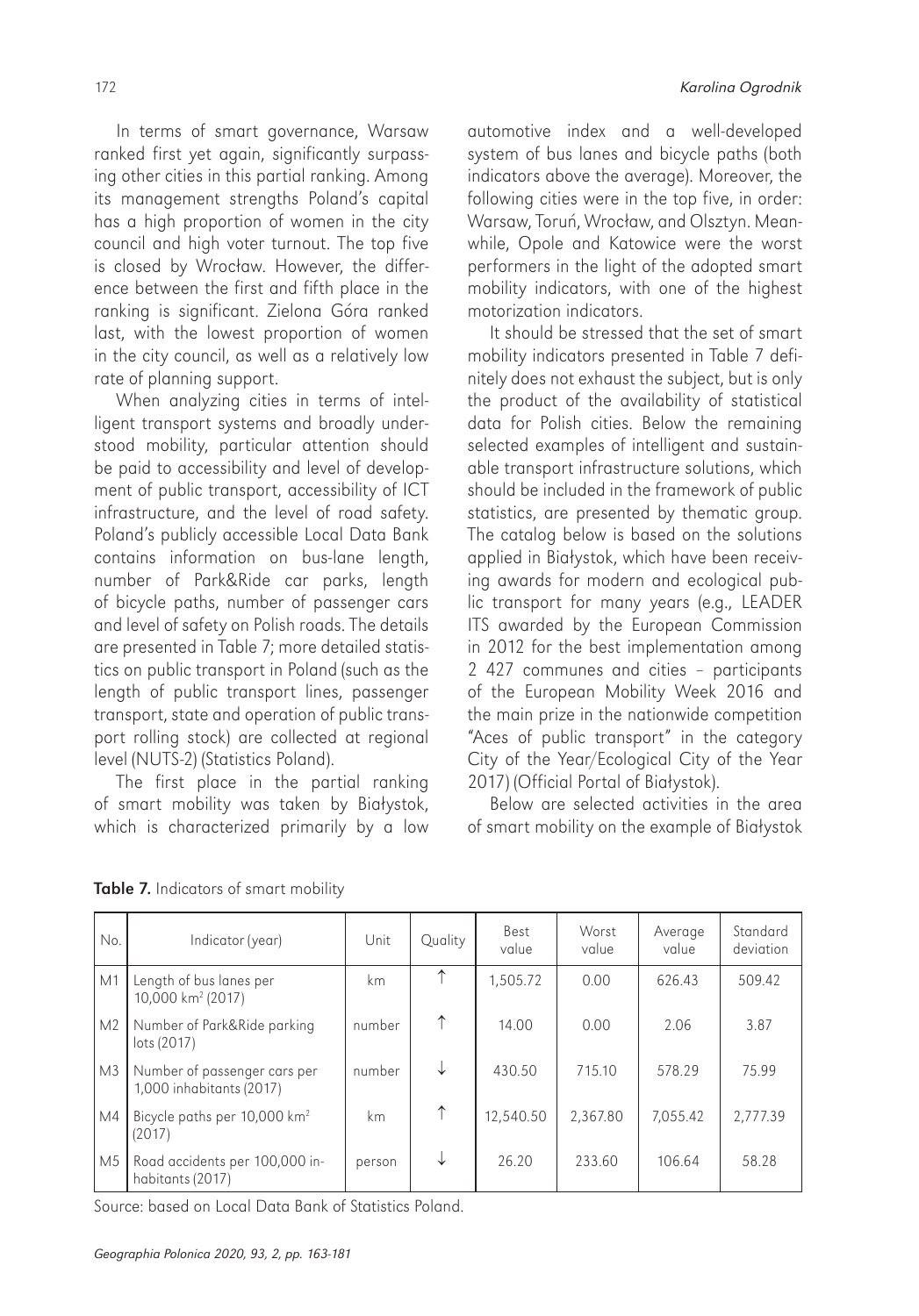In terms of smart governance, Warsaw ranked first yet again, significantly surpassing other cities in this partial ranking. Among its management strengths Poland's capital has a high proportion of women in the city council and high voter turnout. The top five is closed by Wrocław. However, the difference between the first and fifth place in the ranking is significant. Zielona Góra ranked last, with the lowest proportion of women in the city council, as well as a relatively low rate of planning support.

When analyzing cities in terms of intelligent transport systems and broadly understood mobility, particular attention should be paid to accessibility and level of development of public transport, accessibility of ICT infrastructure, and the level of road safety. Poland's publicly accessible Local Data Bank contains information on bus-lane length, number of Park&Ride car parks, length of bicycle paths, number of passenger cars and level of safety on Polish roads. The details are presented in Table 7; more detailed statistics on public transport in Poland (such as the length of public transport lines, passenger transport, state and operation of public transport rolling stock) are collected at regional level (NUTS-2) (Statistics Poland).

The first place in the partial ranking of smart mobility was taken by Białystok, which is characterized primarily by a low

automotive index and a well-developed system of bus lanes and bicycle paths (both indicators above the average). Moreover, the following cities were in the top five, in order: Warsaw, Toruń, Wrocław, and Olsztyn. Meanwhile, Opole and Katowice were the worst performers in the light of the adopted smart mobility indicators, with one of the highest motorization indicators.

It should be stressed that the set of smart mobility indicators presented in Table 7 definitely does not exhaust the subject, but is only the product of the availability of statistical data for Polish cities. Below the remaining selected examples of intelligent and sustainable transport infrastructure solutions, which should be included in the framework of public statistics, are presented by thematic group. The catalog below is based on the solutions applied in Białystok, which have been receiving awards for modern and ecological public transport for many years (e.g., LEADER ITS awarded by the European Commission in 2012 for the best implementation among 2 427 communes and cities – participants of the European Mobility Week 2016 and the main prize in the nationwide competition "Aces of public transport" in the category City of the Year/Ecological City of the Year 2017) (Official Portal of Białystok).

Below are selected activities in the area of smart mobility on the example of Białystok

| No.            | Indicator (year)                                         | Unit   | Quality    | Best<br>value | Worst<br>value | Average<br>value | Standard<br>deviation |
|----------------|----------------------------------------------------------|--------|------------|---------------|----------------|------------------|-----------------------|
| M1             | Length of bus lanes per<br>10,000 km <sup>2</sup> (2017) | k m    | ↑          | 1,505.72      | 0.00           | 626.43           | 509.42                |
| M <sub>2</sub> | Number of Park&Ride parking<br>lots (2017)               | number | ↑          | 14.00         | 0.00           | 2.06             | 3.87                  |
| M <sub>3</sub> | Number of passenger cars per<br>1,000 inhabitants (2017) | number | ↓          | 430.50        | 715.10         | 578.29           | 75.99                 |
| M4             | Bicycle paths per 10,000 km <sup>2</sup><br>(2017)       | k m    | $\uparrow$ | 12.540.50     | 2.367.80       | 7.055.42         | 2.777.39              |
| M <sub>5</sub> | Road accidents per 100,000 in-<br>habitants (2017)       | person | ↓          | 26.20         | 233.60         | 106.64           | 58.28                 |

Table 7. Indicators of smart mobility

Source: based on Local Data Bank of Statistics Poland.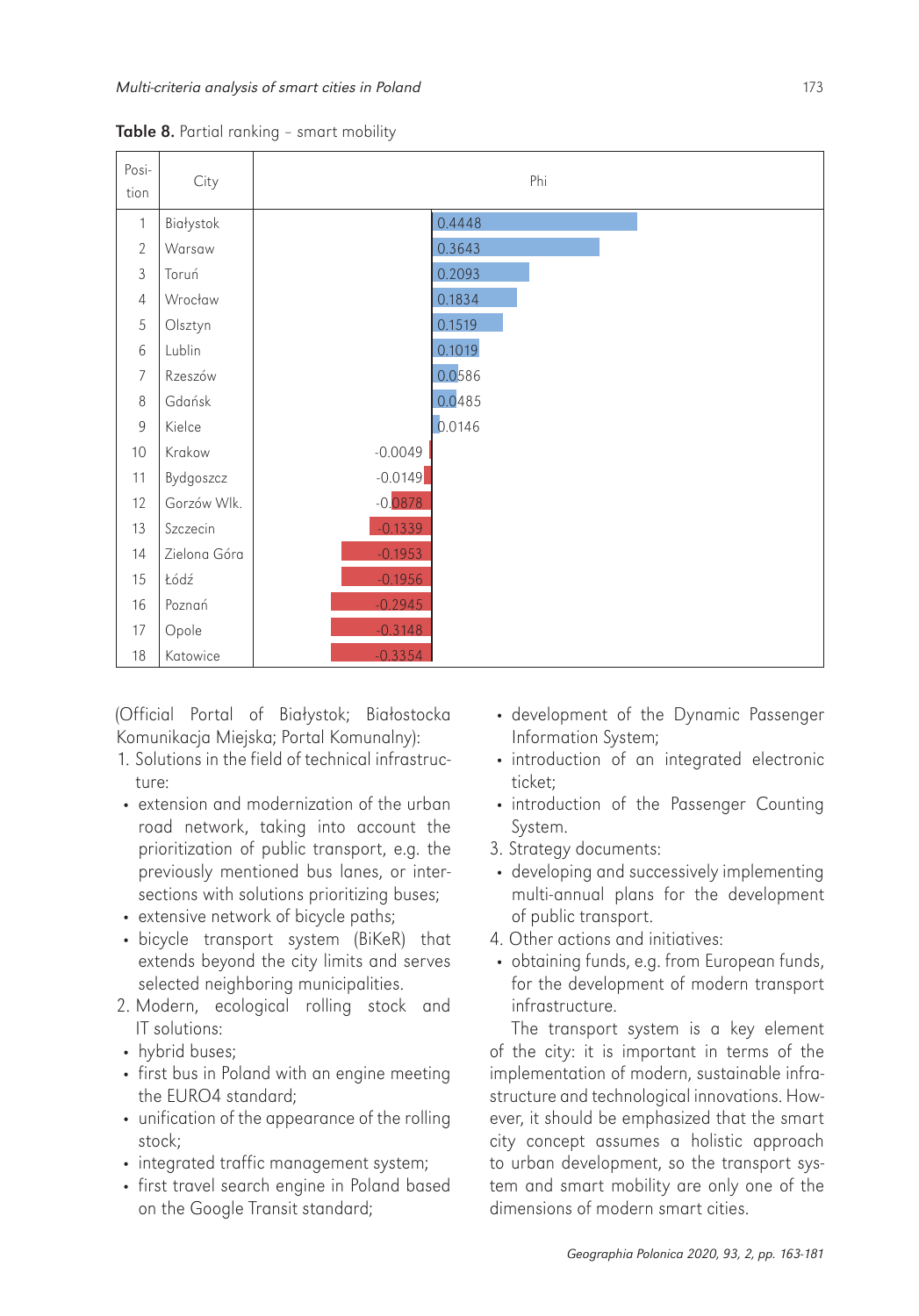

Table 8. Partial ranking - smart mobility

(Official Portal of Białystok; Białostocka Komunikacja Miejska; Portal Komunalny):

- 1. Solutions in the field of technical infrastructure:
- extension and modernization of the urban road network, taking into account the prioritization of public transport, e.g. the previously mentioned bus lanes, or intersections with solutions prioritizing buses;
- extensive network of bicycle paths;
- bicycle transport system (BiKeR) that extends beyond the city limits and serves selected neighboring municipalities.
- 2. Modern, ecological rolling stock and IT solutions:
- hybrid buses;
- first bus in Poland with an engine meeting the EURO4 standard;
- unification of the appearance of the rolling stock;
- integrated traffic management system;
- first travel search engine in Poland based on the Google Transit standard;
- development of the Dynamic Passenger Information System;
- introduction of an integrated electronic ticket;
- introduction of the Passenger Counting System.
- 3. Strategy documents:
- developing and successively implementing multi-annual plans for the development of public transport.
- 4. Other actions and initiatives:
- obtaining funds, e.g. from European funds, for the development of modern transport infrastructure.

The transport system is a key element of the city: it is important in terms of the implementation of modern, sustainable infrastructure and technological innovations. However, it should be emphasized that the smart city concept assumes a holistic approach to urban development, so the transport system and smart mobility are only one of the dimensions of modern smart cities.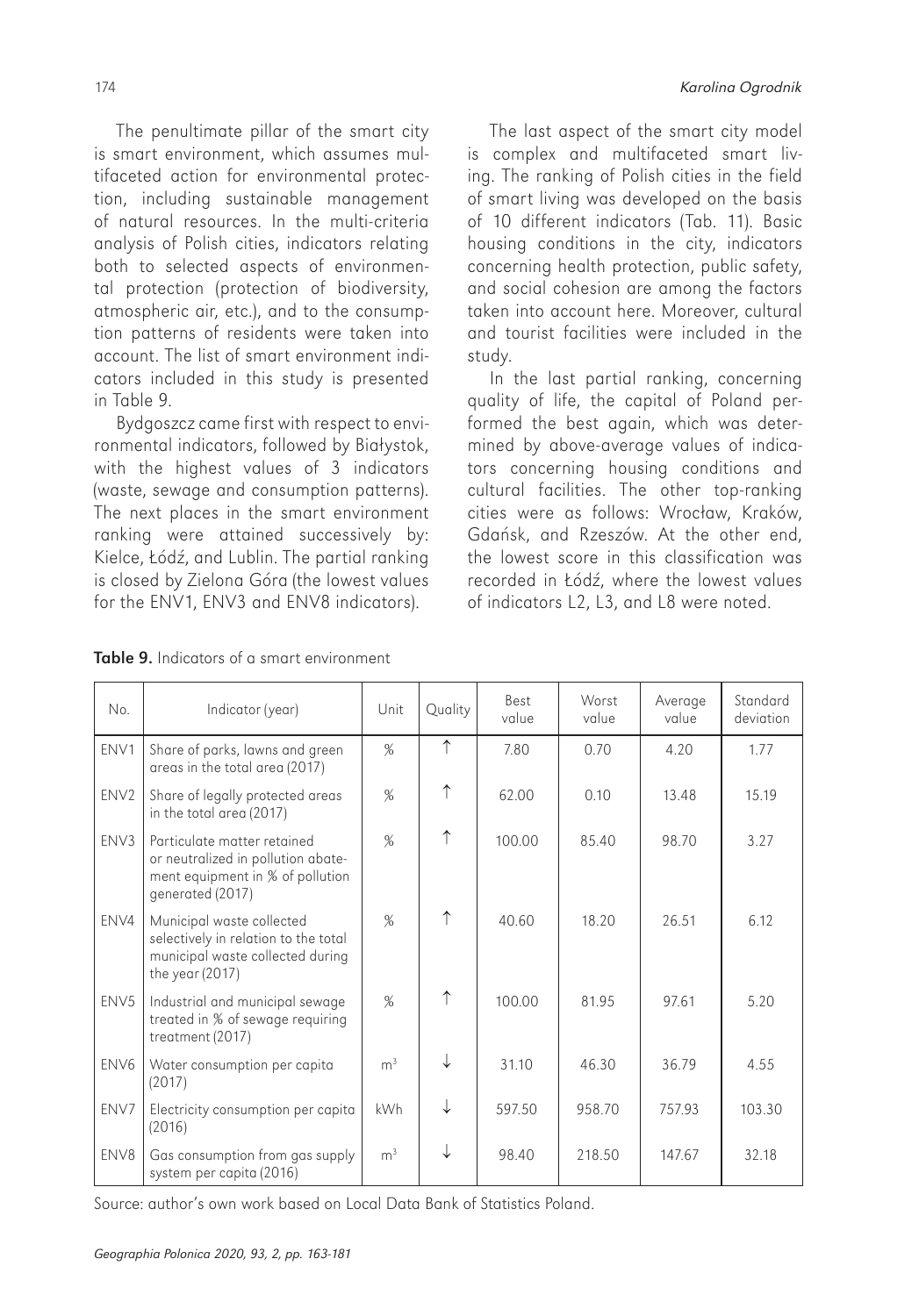The penultimate pillar of the smart city is smart environment, which assumes multifaceted action for environmental protection, including sustainable management of natural resources. In the multi-criteria analysis of Polish cities, indicators relating both to selected aspects of environmental protection (protection of biodiversity, atmospheric air, etc.), and to the consumption patterns of residents were taken into account. The list of smart environment indicators included in this study is presented in Table 9.

Bydgoszcz came first with respect to environmental indicators, followed by Białystok, with the highest values of 3 indicators (waste, sewage and consumption patterns). The next places in the smart environment ranking were attained successively by: Kielce, Łódź, and Lublin. The partial ranking is closed by Zielona Góra (the lowest values for the ENV1, ENV3 and ENV8 indicators).

The last aspect of the smart city model is complex and multifaceted smart living. The ranking of Polish cities in the field of smart living was developed on the basis of 10 different indicators (Tab. 11). Basic housing conditions in the city, indicators concerning health protection, public safety, and social cohesion are among the factors taken into account here. Moreover, cultural and tourist facilities were included in the study.

In the last partial ranking, concerning quality of life, the capital of Poland performed the best again, which was determined by above-average values of indicators concerning housing conditions and cultural facilities. The other top-ranking cities were as follows: Wrocław, Kraków, Gdańsk, and Rzeszów. At the other end, the lowest score in this classification was recorded in Łódź, where the lowest values of indicators L2, L3, and L8 were noted.

| No.              | Indicator (year)                                                                                                          | Unit           | Quality    | Best<br>value | Worst<br>value | Average<br>value | Standard<br>deviation |
|------------------|---------------------------------------------------------------------------------------------------------------------------|----------------|------------|---------------|----------------|------------------|-----------------------|
| ENV1             | Share of parks, lawns and green<br>areas in the total area (2017)                                                         | %              | ↑          | 7.80          | 0.70           | 4.20             | 1.77                  |
| ENV <sub>2</sub> | Share of legally protected areas<br>in the total area (2017)                                                              | $\%$           | ↑          | 62.00         | 0.10           | 13.48            | 15.19                 |
| ENV3             | Particulate matter retained<br>or neutralized in pollution abate-<br>ment equipment in % of pollution<br>generated (2017) | %              | $\uparrow$ | 100.00        | 85.40          | 98.70            | 3.27                  |
| ENV4             | Municipal waste collected<br>selectively in relation to the total<br>municipal waste collected during<br>the year (2017)  | %              | ↑          | 40.60         | 18.20          | 26.51            | 6.12                  |
| ENV <sub>5</sub> | Industrial and municipal sewage<br>treated in % of sewage requiring<br>treatment (2017)                                   | %              | ↑          | 100.00        | 81.95          | 97.61            | 5.20                  |
| FNV <sub>6</sub> | Water consumption per capita<br>(2017)                                                                                    | m <sup>3</sup> |            | 31.10         | 46.30          | 36.79            | 4.55                  |
| ENV7             | Electricity consumption per capita<br>(2016)                                                                              | kWh            |            | 597.50        | 958.70         | 757.93           | 103.30                |
| FNV8             | Gas consumption from gas supply<br>system per capita (2016)                                                               | m <sup>3</sup> |            | 98.40         | 218.50         | 147.67           | 32.18                 |

|  |  |  | <b>Table 9.</b> Indicators of a smart environment |
|--|--|--|---------------------------------------------------|
|--|--|--|---------------------------------------------------|

Source: author's own work based on Local Data Bank of Statistics Poland.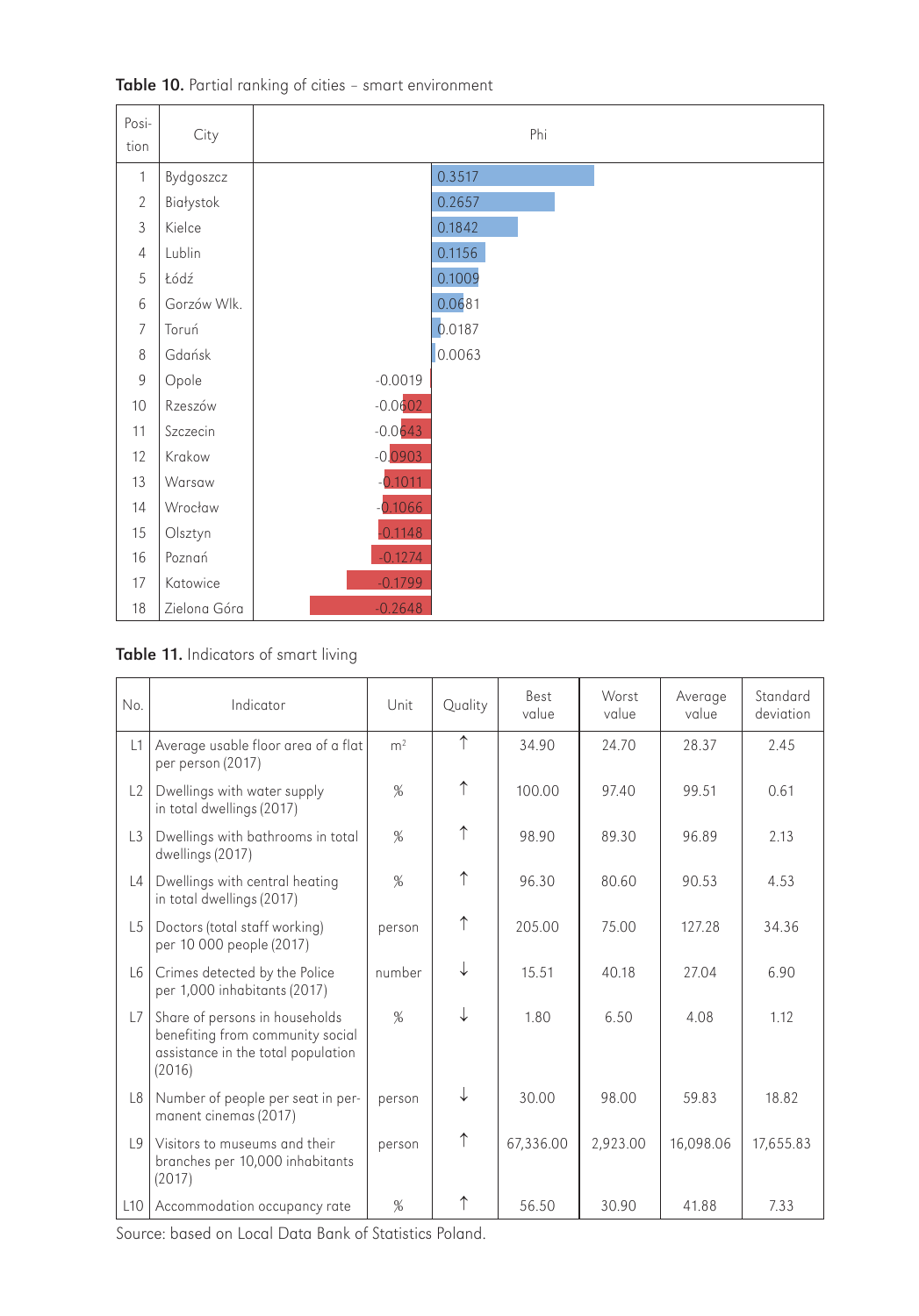

Table 10. Partial ranking of cities - smart environment

#### Table 11. Indicators of smart living

| No. | Indicator                                                                                                          | Unit           | Quality    | Best<br>value | Worst<br>value | Average<br>value | Standard<br>deviation |
|-----|--------------------------------------------------------------------------------------------------------------------|----------------|------------|---------------|----------------|------------------|-----------------------|
| L1  | Average usable floor area of a flat<br>per person (2017)                                                           | m <sup>2</sup> | $\uparrow$ | 34.90         | 24.70          | 28.37            | 2.45                  |
| L2  | Dwellings with water supply<br>in total dwellings (2017)                                                           | %              | $\uparrow$ | 100.00        | 97.40          | 99.51            | 0.61                  |
| L3  | Dwellings with bathrooms in total<br>dwellings (2017)                                                              | %              | $\uparrow$ | 98.90         | 89.30          | 96.89            | 2.13                  |
| L4  | Dwellings with central heating<br>in total dwellings (2017)                                                        | %              | $\uparrow$ | 96.30         | 80.60          | 90.53            | 4.53                  |
| L5  | Doctors (total staff working)<br>per 10 000 people (2017)                                                          | person         | $\uparrow$ | 205.00        | 75.00          | 127.28           | 34.36                 |
| L6  | Crimes detected by the Police<br>per 1,000 inhabitants (2017)                                                      | number         | ↓          | 15.51         | 40.18          | 27.04            | 6.90                  |
| L7  | Share of persons in households<br>benefiting from community social<br>assistance in the total population<br>(2016) | %              | ↓          | 1.80          | 6.50           | 4.08             | 1.12                  |
| L8  | Number of people per seat in per-<br>manent cinemas (2017)                                                         | person         | ↓          | 30.00         | 98.00          | 59.83            | 18.82                 |
| 9   | Visitors to museums and their<br>branches per 10,000 inhabitants<br>(2017)                                         | person         | $\uparrow$ | 67.336.00     | 2,923.00       | 16.098.06        | 17,655.83             |
| L10 | Accommodation occupancy rate                                                                                       | %              | ↑          | 56.50         | 30.90          | 41.88            | 7.33                  |

Source: based on Local Data Bank of Statistics Poland.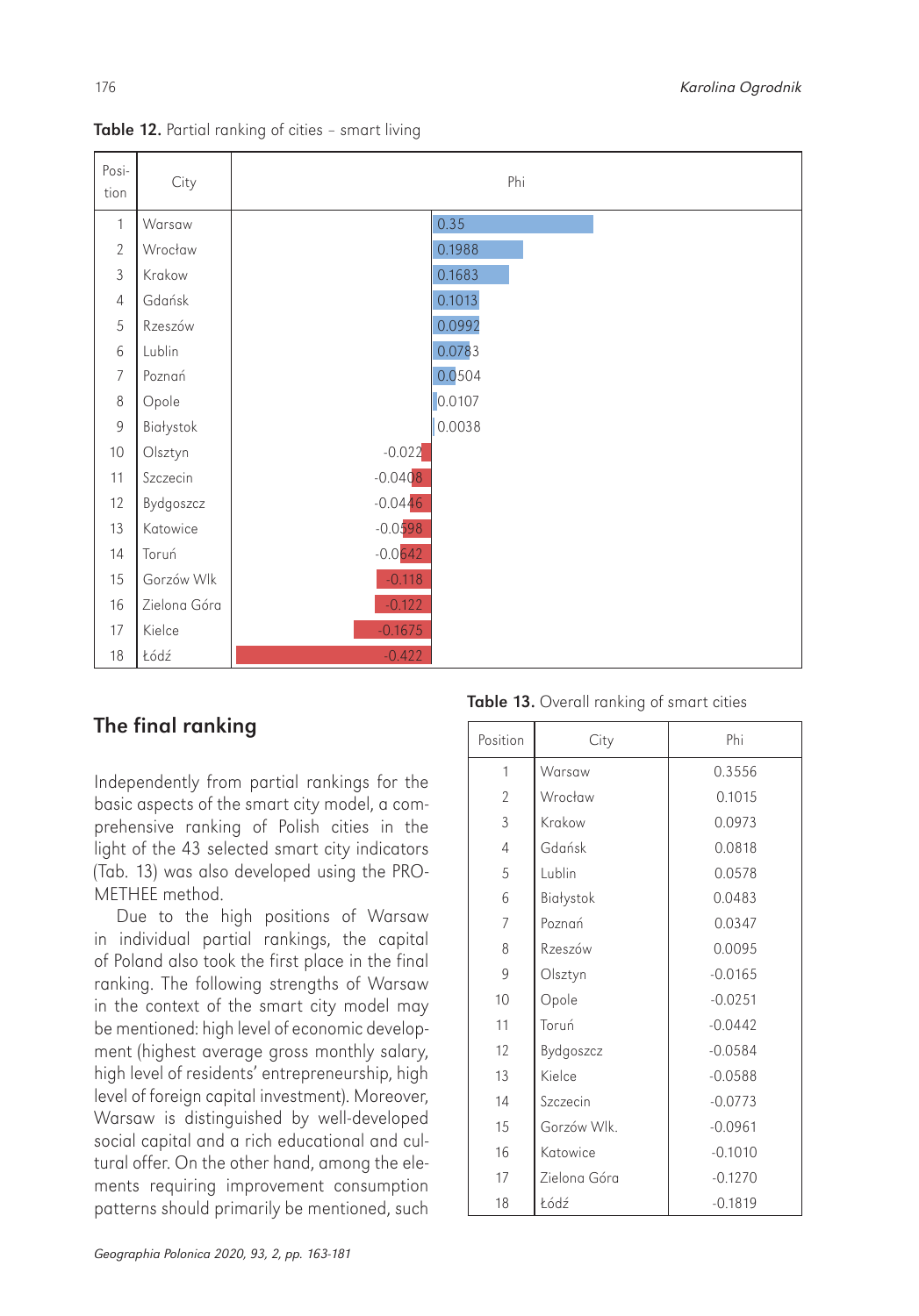

Table 12. Partial ranking of cities - smart living

# The final ranking

Independently from partial rankings for the basic aspects of the smart city model, a comprehensive ranking of Polish cities in the light of the 43 selected smart city indicators (Tab. 13) was also developed using the PRO-METHEE method.

Due to the high positions of Warsaw in individual partial rankings, the capital of Poland also took the first place in the final ranking. The following strengths of Warsaw in the context of the smart city model may be mentioned: high level of economic development (highest average gross monthly salary, high level of residents' entrepreneurship, high level of foreign capital investment). Moreover, Warsaw is distinguished by well-developed social capital and a rich educational and cultural offer. On the other hand, among the elements requiring improvement consumption patterns should primarily be mentioned, such

| Position       | City         | Phi       |
|----------------|--------------|-----------|
| 1              | Warsaw       | 0.3556    |
| $\mathfrak{D}$ | Wrocław      | 0.1015    |
| 3              | Krakow       | 0.0973    |
| $\overline{4}$ | Gdańsk       | 0.0818    |
| 5              | Lublin       | 0.0578    |
| 6              | Białystok    | 0.0483    |
| 7              | Poznań       | 0.0347    |
| 8              | Rzeszów      | 0.0095    |
| 9              | Olsztyn      | $-0.0165$ |
| 10             | Opole        | $-0.0251$ |
| 11             | Toruń        | $-0.0442$ |
| 12             | Bydgoszcz    | $-0.0584$ |
| 13             | Kielce       | $-0.0588$ |
| 14             | Szczecin     | $-0.0773$ |
| 15             | Gorzów Wlk.  | $-0.0961$ |
| 16             | Katowice     | $-0.1010$ |
| 17             | Zielona Góra | $-0.1270$ |
| 18             | Łódź         | $-0.1819$ |

Table 13. Overall ranking of smart cities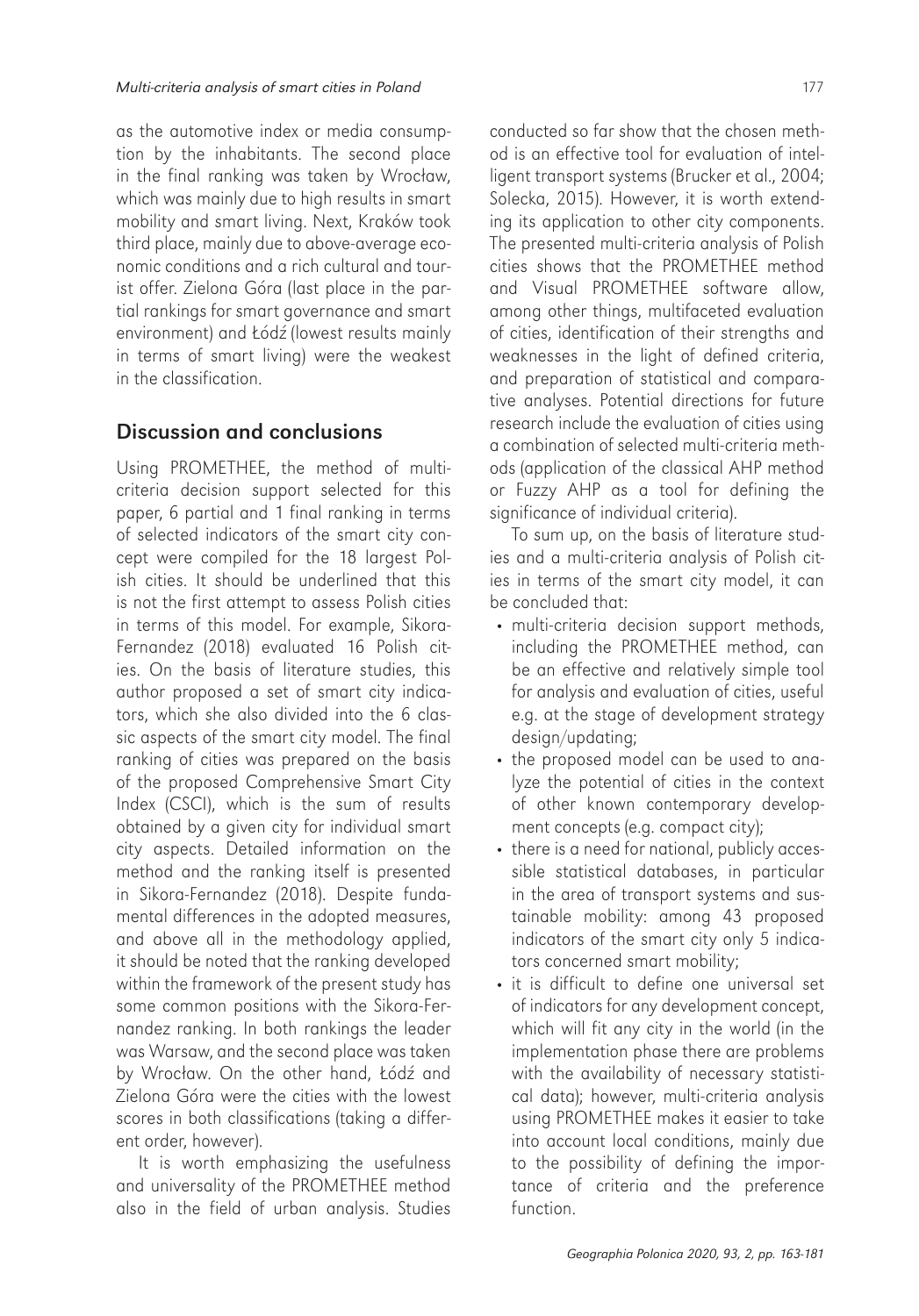as the automotive index or media consumption by the inhabitants. The second place in the final ranking was taken by Wrocław, which was mainly due to high results in smart mobility and smart living. Next, Kraków took third place, mainly due to above-average economic conditions and a rich cultural and tourist offer. Zielona Góra (last place in the partial rankings for smart governance and smart environment) and Łódź (lowest results mainly in terms of smart living) were the weakest in the classification.

#### Discussion and conclusions

Using PROMETHEE, the method of multicriteria decision support selected for this paper, 6 partial and 1 final ranking in terms of selected indicators of the smart city concept were compiled for the 18 largest Polish cities. It should be underlined that this is not the first attempt to assess Polish cities in terms of this model. For example, Sikora-Fernandez (2018) evaluated 16 Polish cities. On the basis of literature studies, this author proposed a set of smart city indicators, which she also divided into the 6 classic aspects of the smart city model. The final ranking of cities was prepared on the basis of the proposed Comprehensive Smart City Index (CSCI), which is the sum of results obtained by a given city for individual smart city aspects. Detailed information on the method and the ranking itself is presented in Sikora-Fernandez (2018). Despite fundamental differences in the adopted measures, and above all in the methodology applied, it should be noted that the ranking developed within the framework of the present study has some common positions with the Sikora-Fernandez ranking. In both rankings the leader was Warsaw, and the second place was taken by Wrocław. On the other hand, Łódź and Zielona Góra were the cities with the lowest scores in both classifications (taking a different order, however).

It is worth emphasizing the usefulness and universality of the PROMETHEE method also in the field of urban analysis. Studies

conducted so far show that the chosen method is an effective tool for evaluation of intelligent transport systems (Brucker et al., 2004; Solecka, 2015). However, it is worth extending its application to other city components. The presented multi-criteria analysis of Polish cities shows that the PROMETHEE method and Visual PROMETHEE software allow, among other things, multifaceted evaluation of cities, identification of their strengths and weaknesses in the light of defined criteria, and preparation of statistical and comparative analyses. Potential directions for future research include the evaluation of cities using a combination of selected multi-criteria methods (application of the classical AHP method or Fuzzy AHP as a tool for defining the significance of individual criteria).

To sum up, on the basis of literature studies and a multi-criteria analysis of Polish cities in terms of the smart city model, it can be concluded that:

- multi-criteria decision support methods, including the PROMETHEE method, can be an effective and relatively simple tool for analysis and evaluation of cities, useful e.g. at the stage of development strategy design/updating;
- the proposed model can be used to analyze the potential of cities in the context of other known contemporary development concepts (e.g. compact city);
- there is a need for national, publicly accessible statistical databases, in particular in the area of transport systems and sustainable mobility: among 43 proposed indicators of the smart city only 5 indicators concerned smart mobility;
- it is difficult to define one universal set of indicators for any development concept, which will fit any city in the world (in the implementation phase there are problems with the availability of necessary statistical data); however, multi-criteria analysis using PROMETHEE makes it easier to take into account local conditions, mainly due to the possibility of defining the importance of criteria and the preference function.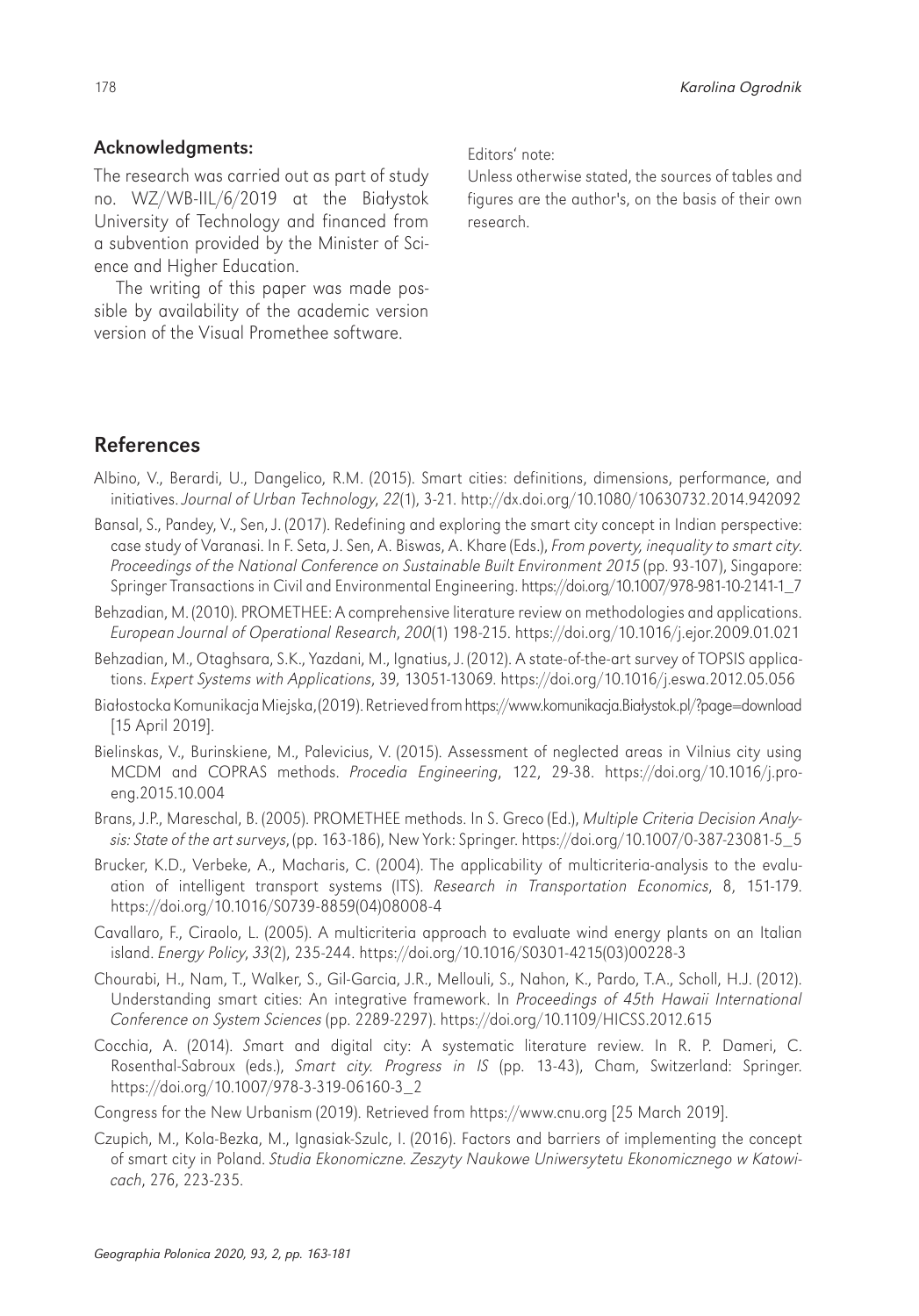#### Acknowledgments:

The research was carried out as part of study no. WZ/WB-IIL/6/2019 at the Białystok University of Technology and financed from a subvention provided by the Minister of Science and Higher Education.

The writing of this paper was made possible by availability of the academic version version of the Visual Promethee software.

Editors' note:

Unless otherwise stated, the sources of tables and figures are the author's, on the basis of their own research.

### References

- Albino, V., Berardi, U., Dangelico, R.M. (2015). Smart cities: definitions, dimensions, performance, and initiatives. *Journal of Urban Technology*, *22*(1), 3-21. http://dx.doi.org/10.1080/10630732.2014.942092
- Bansal, S., Pandey, V., Sen, J. (2017). Redefining and exploring the smart city concept in Indian perspective: case study of Varanasi. In F. Seta, J. Sen, A. Biswas, A. Khare (Eds.), *From poverty, inequality to smart city*. *Proceedings of the National Conference on Sustainable Built Environment 2015* (pp. 93-107), Singapore: Springer Transactions in Civil and Environmental Engineering. https://doi.org/10.1007/978-981-10-2141-1\_7
- Behzadian, M. (2010). PROMETHEE: A comprehensive literature review on methodologies and applications. *European Journal of Operational Research*, *200*(1) 198-215. https://doi.org/10.1016/j.ejor.2009.01.021
- Behzadian, M., Otaghsara, S.K., Yazdani, M., Ignatius, J. (2012). A state-of-the-art survey of TOPSIS applications. *Expert Systems with Applications*, 39, 13051-13069. https://doi.org/10.1016/j.eswa.2012.05.056
- Białostocka Komunikacja Miejska, (2019). Retrieved from https://www.komunikacja.Białystok.pl/?page=download [15 April 2019].
- Bielinskas, V., Burinskiene, M., Palevicius, V. (2015). Assessment of neglected areas in Vilnius city using MCDM and COPRAS methods. *Procedia Engineering*, 122, 29-38. https://doi.org/10.1016/j.proeng.2015.10.004
- Brans, J.P., Mareschal, B. (2005). PROMETHEE methods. In S. Greco (Ed.), *Multiple Criteria Decision Analysis: State of the art surveys*, (pp. 163-186), New York: Springer. https://doi.org/10.1007/0-387-23081-5\_5
- Brucker, K.D., Verbeke, A., Macharis, C. (2004). The applicability of multicriteria-analysis to the evaluation of intelligent transport systems (ITS). *Research in Transportation Economics*, 8, 151-179. https://doi.org/10.1016/S0739-8859(04)08008-4
- Cavallaro, F., Ciraolo, L. (2005). A multicriteria approach to evaluate wind energy plants on an Italian island. *Energy Policy*, *33*(2), 235-244. https://doi.org/10.1016/S0301-4215(03)00228-3
- Chourabi, H., Nam, T., Walker, S., Gil-Garcia, J.R., Mellouli, S., Nahon, K., Pardo, T.A., Scholl, H.J. (2012). Understanding smart cities: An integrative framework. In *Proceedings of 45th Hawaii International Conference on System Sciences* (pp. 2289-2297). https://doi.org/10.1109/HICSS.2012.615
- Cocchia, A. (2014). *S*mart and digital city: A systematic literature review. In R. P. Dameri, C. Rosenthal-Sabroux (eds.), *Smart city. Progress in IS* (pp. 13-43), Cham, Switzerland: Springer. https://doi.org/10.1007/978-3-319-06160-3\_2
- Congress for the New Urbanism (2019). Retrieved from https://www.cnu.org [25 March 2019].
- Czupich, M., Kola-Bezka, M., Ignasiak-Szulc, I. (2016). Factors and barriers of implementing the concept of smart city in Poland. *Studia Ekonomiczne. Zeszyty Naukowe Uniwersytetu Ekonomicznego w Katowicach*, 276, 223-235.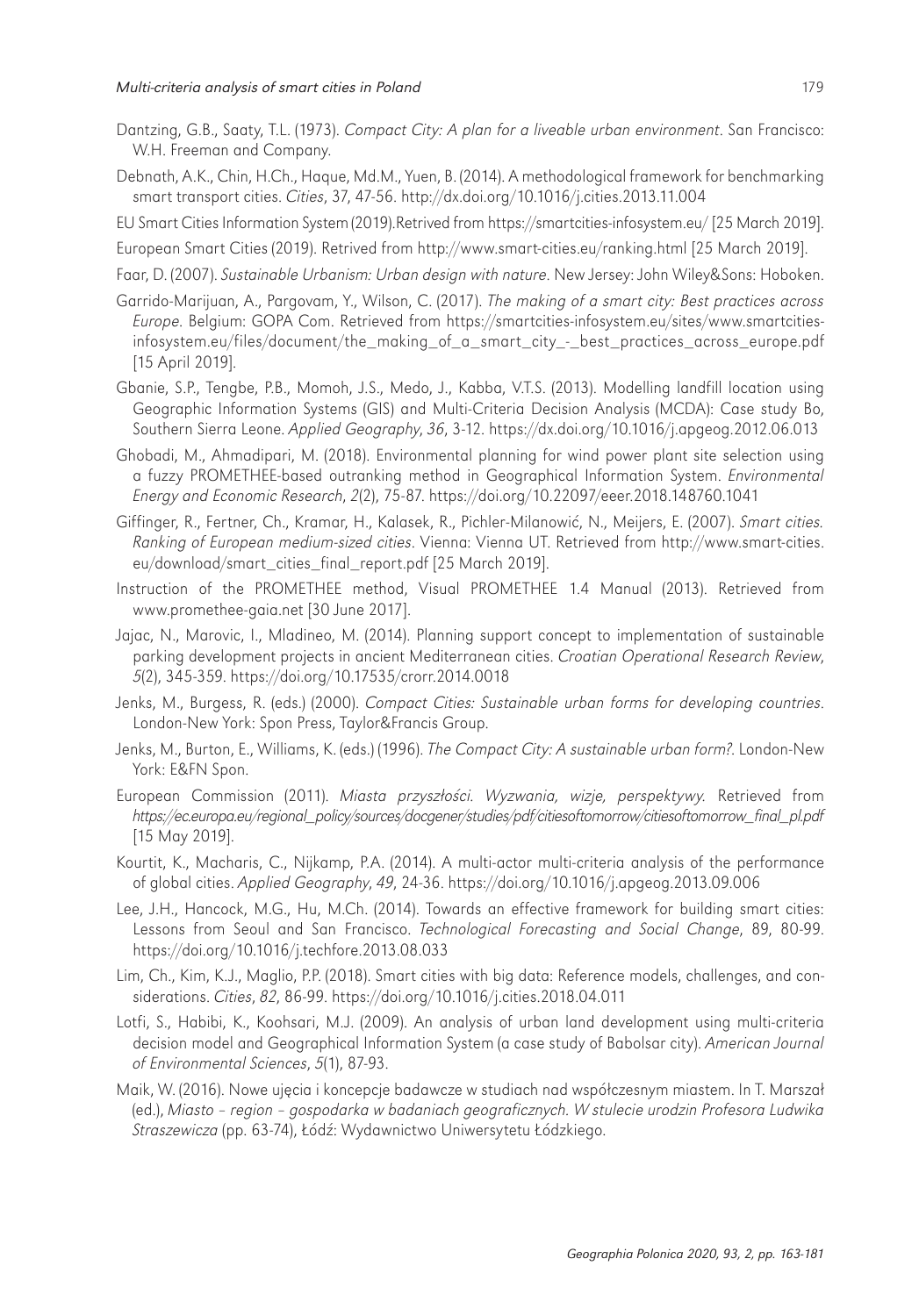- Dantzing, G.B., Saaty, T.L. (1973). *Compact City: A plan for a liveable urban environment*. San Francisco: W.H. Freeman and Company.
- Debnath, A.K., Chin, H.Ch., Haque, Md.M., Yuen, B. (2014). A methodological framework for benchmarking smart transport cities. *Cities*, 37, 47-56. http://dx.doi.org/10.1016/j.cities.2013.11.004
- EU Smart Cities Information System (2019).Retrived from https://smartcities-infosystem.eu/ [25 March 2019].
- European Smart Cities (2019). Retrived from http://www.smart-cities.eu/ranking.html [25 March 2019].
- Faar, D. (2007). *Sustainable Urbanism: Urban design with nature*. New Jersey: John Wiley&Sons: Hoboken.
- Garrido-Marijuan, A., Pargovam, Y., Wilson, C. (2017). *The making of a smart city: Best practices across Europe*. Belgium: GOPA Com. Retrieved from https://smartcities-infosystem.eu/sites/www.smartcitiesinfosystem.eu/files/document/the\_making\_of\_a\_smart\_city\_-\_best\_practices\_across\_europe.pdf [15 April 2019].
- Gbanie, S.P., Tengbe, P.B., Momoh, J.S., Medo, J., Kabba, V.T.S. (2013). Modelling landfill location using Geographic Information Systems (GIS) and Multi-Criteria Decision Analysis (MCDA): Case study Bo, Southern Sierra Leone. *Applied Geography*, *36*, 3-12. https://dx.doi.org/10.1016/j.apgeog.2012.06.013
- Ghobadi, M., Ahmadipari, M. (2018). Environmental planning for wind power plant site selection using a fuzzy PROMETHEE-based outranking method in Geographical Information System. *Environmental Energy and Economic Research*, *2*(2), 75-87. https://doi.org/10.22097/eeer.2018.148760.1041
- Giffinger, R., Fertner, Ch., Kramar, H., Kalasek, R., Pichler-Milanowić, N., Meijers, E. (2007). *Smart cities. Ranking of European medium-sized cities*. Vienna: Vienna UT. Retrieved from http://www.smart-cities. eu/download/smart\_cities\_final\_report.pdf [25 March 2019].
- Instruction of the PROMETHEE method, Visual PROMETHEE 1.4 Manual (2013). Retrieved from www.promethee-gaia.net [30 June 2017].
- Jajac, N., Marovic, I., Mladineo, M. (2014). Planning support concept to implementation of sustainable parking development projects in ancient Mediterranean cities. *Croatian Operational Research Review*, *5*(2), 345-359. https://doi.org/10.17535/crorr.2014.0018
- Jenks, M., Burgess, R. (eds.) (2000). *Compact Cities: Sustainable urban forms for developing countries*. London-New York: Spon Press, Taylor&Francis Group.
- Jenks, M., Burton, E., Williams, K. (eds.) (1996). *The Compact City: A sustainable urban form?*. London-New York: E&FN Spon.
- European Commission (2011). *Miasta przysz*ł*o*ś*ci. Wyzwania, wizje, perspektywy.* Retrieved from *https://ec.europa.eu/regional\_policy/sources/docgener/studies/pdf/citiesoftomorrow/citiesoftomorrow\_final\_pl.pdf*  [15 May 2019].
- Kourtit, K., Macharis, C., Nijkamp, P.A. (2014). A multi-actor multi-criteria analysis of the performance of global cities. *Applied Geography*, *49*, 24-36. https://doi.org/10.1016/j.apgeog.2013.09.006
- Lee, J.H., Hancock, M.G., Hu, M.Ch. (2014). Towards an effective framework for building smart cities: Lessons from Seoul and San Francisco. *Technological Forecasting and Social Change*, 89, 80-99. https://doi.org/10.1016/j.techfore.2013.08.033
- Lim, Ch., Kim, K.J., Maglio, P.P. (2018). Smart cities with big data: Reference models, challenges, and considerations. *Cities*, *82*, 86-99. https://doi.org/10.1016/j.cities.2018.04.011
- Lotfi, S., Habibi, K., Koohsari, M.J. (2009). An analysis of urban land development using multi-criteria decision model and Geographical Information System (a case study of Babolsar city). *American Journal of Environmental Sciences*, *5*(1), 87-93.
- Maik, W. (2016). Nowe ujęcia i koncepcje badawcze w studiach nad współczesnym miastem. In T. Marszał (ed.), *Miasto – region – gospodarka w badaniach geograficznych. W stulecie urodzin Profesora Ludwika Straszewicza* (pp. 63-74), Łódź: Wydawnictwo Uniwersytetu Łódzkiego.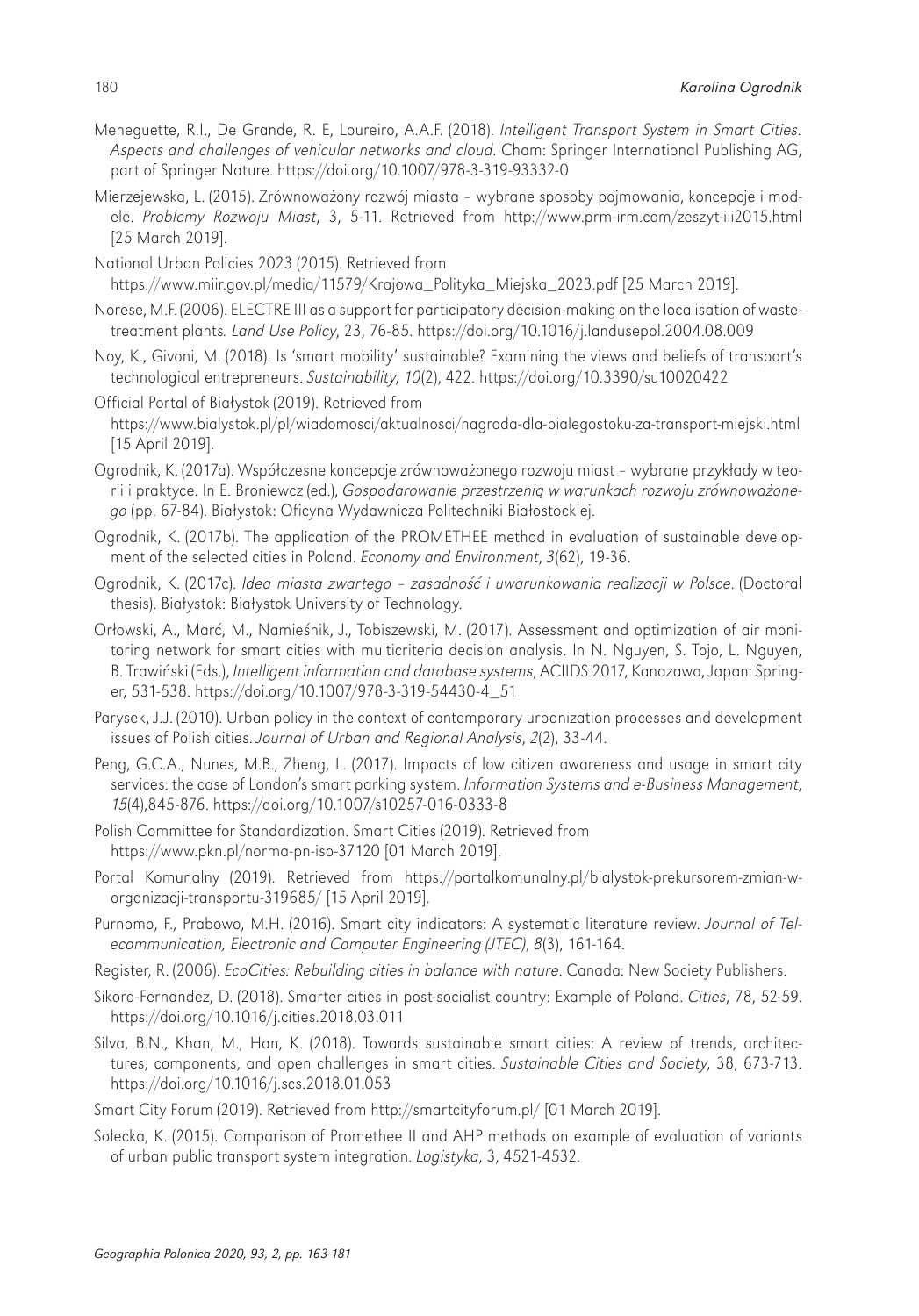- Meneguette, R.I., De Grande, R. E, Loureiro, A.A.F. (2018). *Intelligent Transport System in Smart Cities. Aspects and challenges of vehicular networks and cloud*. Cham: Springer International Publishing AG, part of Springer Nature. https://doi.org/10.1007/978-3-319-93332-0
- Mierzejewska, L. (2015). Zrównoważony rozwój miasta wybrane sposoby pojmowania, koncepcje i modele. *Problemy Rozwoju Miast*, 3, 5-11. Retrieved from http://www.prm-irm.com/zeszyt-iii2015.html [25 March 2019].
- National Urban Policies 2023 (2015). Retrieved from https://www.miir.gov.pl/media/11579/Krajowa\_Polityka\_Miejska\_2023.pdf [25 March 2019].
- Norese, M.F. (2006). ELECTRE III as a support for participatory decision-making on the localisation of wastetreatment plants*. Land Use Policy*, 23, 76-85. https://doi.org/10.1016/j.landusepol.2004.08.009
- Noy, K., Givoni, M. (2018). Is 'smart mobility' sustainable? Examining the views and beliefs of transport's technological entrepreneurs. *Sustainability*, *10*(2), 422. https://doi.org/10.3390/su10020422
- Official Portal of Białystok (2019). Retrieved from https://www.bialystok.pl/pl/wiadomosci/aktualnosci/nagroda-dla-bialegostoku-za-transport-miejski.html [15 April 2019].
- Ogrodnik, K. (2017a). Współczesne koncepcje zrównoważonego rozwoju miast wybrane przykłady w teorii i praktyce. In E. Broniewcz (ed.), *Gospodarowanie przestrzeni*ą *w warunkach rozwoju zrównowa*ż*onego* (pp. 67-84). Białystok: Oficyna Wydawnicza Politechniki Białostockiej.
- Ogrodnik, K. (2017b). The application of the PROMETHEE method in evaluation of sustainable development of the selected cities in Poland. *Economy and Environment*, *3*(62), 19-36.
- Ogrodnik, K. (2017c). *Idea miasta zwartego zasadno*ść *i uwarunkowania realizacji w Polsce*. (Doctoral thesis). Białystok: Białystok University of Technology.
- Orłowski, A., Marć, M., Namieśnik, J., Tobiszewski, M. (2017). Assessment and optimization of air monitoring network for smart cities with multicriteria decision analysis. In N. Nguyen, S. Tojo, L. Nguyen, B. Trawiński (Eds.), *Intelligent information and database systems*, ACIIDS 2017, Kanazawa, Japan: Springer, 531-538. https://doi.org/10.1007/978-3-319-54430-4\_51
- Parysek, J.J. (2010). Urban policy in the context of contemporary urbanization processes and development issues of Polish cities. *Journal of Urban and Regional Analysis*, *2*(2), 33-44.
- Peng, G.C.A., Nunes, M.B., Zheng, L. (2017). Impacts of low citizen awareness and usage in smart city services: the case of London's smart parking system. *Information Systems and e-Business Management*, *15*(4),845-876. https://doi.org/10.1007/s10257-016-0333-8
- Polish Committee for Standardization. Smart Cities (2019). Retrieved from https://www.pkn.pl/norma-pn-iso-37120 [01 March 2019].
- Portal Komunalny (2019). Retrieved from https://portalkomunalny.pl/bialystok-prekursorem-zmian-worganizacji-transportu-319685/ [15 April 2019].
- Purnomo, F., Prabowo, M.H. (2016). Smart city indicators: A systematic literature review. *Journal of Telecommunication, Electronic and Computer Engineering (JTEC)*, *8*(3), 161-164.
- Register, R. (2006). *EcoCities: Rebuilding cities in balance with nature*. Canada: New Society Publishers.
- Sikora-Fernandez, D. (2018). Smarter cities in post-socialist country: Example of Poland. *Cities*, 78, 52-59. https://doi.org/10.1016/j.cities.2018.03.011
- Silva, B.N., Khan, M., Han, K. (2018). Towards sustainable smart cities: A review of trends, architectures, components, and open challenges in smart cities. *Sustainable Cities and Society*, 38, 673-713. https://doi.org/10.1016/j.scs.2018.01.053
- Smart City Forum (2019). Retrieved from http://smartcityforum.pl/ [01 March 2019].
- Solecka, K. (2015). Comparison of Promethee II and AHP methods on example of evaluation of variants of urban public transport system integration. *Logistyka*, 3, 4521-4532.